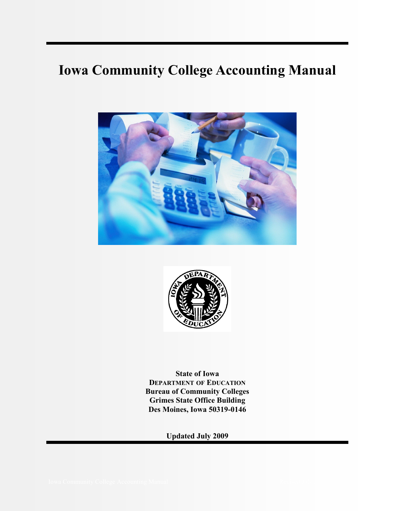# **Iowa Community College Accounting Manual**





**State of Iowa DEPARTMENT OF EDUCATION Bureau of Community Colleges Grimes State Office Building Des Moines, Iowa 50319-0146** 

**Updated July 2009**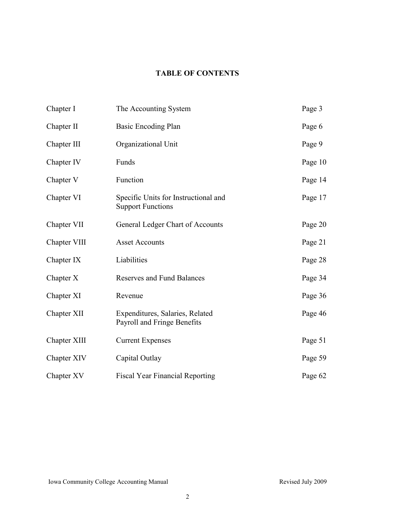# **TABLE OF CONTENTS**

| Chapter I    | The Accounting System                                            | Page 3  |
|--------------|------------------------------------------------------------------|---------|
| Chapter II   | Basic Encoding Plan                                              | Page 6  |
| Chapter III  | Organizational Unit                                              | Page 9  |
| Chapter IV   | Funds                                                            | Page 10 |
| Chapter V    | Function                                                         | Page 14 |
| Chapter VI   | Specific Units for Instructional and<br><b>Support Functions</b> | Page 17 |
| Chapter VII  | General Ledger Chart of Accounts                                 | Page 20 |
| Chapter VIII | <b>Asset Accounts</b>                                            | Page 21 |
| Chapter IX   | Liabilities                                                      | Page 28 |
| Chapter X    | <b>Reserves and Fund Balances</b>                                | Page 34 |
| Chapter XI   | Revenue                                                          | Page 36 |
| Chapter XII  | Expenditures, Salaries, Related<br>Payroll and Fringe Benefits   | Page 46 |
| Chapter XIII | <b>Current Expenses</b>                                          | Page 51 |
| Chapter XIV  | Capital Outlay                                                   | Page 59 |
| Chapter XV   | <b>Fiscal Year Financial Reporting</b>                           | Page 62 |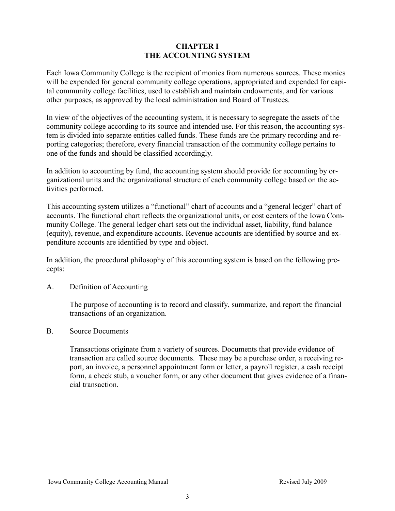# **CHAPTER I THE ACCOUNTING SYSTEM**

Each Iowa Community College is the recipient of monies from numerous sources. These monies will be expended for general community college operations, appropriated and expended for capital community college facilities, used to establish and maintain endowments, and for various other purposes, as approved by the local administration and Board of Trustees.

In view of the objectives of the accounting system, it is necessary to segregate the assets of the community college according to its source and intended use. For this reason, the accounting system is divided into separate entities called funds. These funds are the primary recording and reporting categories; therefore, every financial transaction of the community college pertains to one of the funds and should be classified accordingly.

In addition to accounting by fund, the accounting system should provide for accounting by organizational units and the organizational structure of each community college based on the activities performed.

This accounting system utilizes a "functional" chart of accounts and a "general ledger" chart of accounts. The functional chart reflects the organizational units, or cost centers of the Iowa Community College. The general ledger chart sets out the individual asset, liability, fund balance (equity), revenue, and expenditure accounts. Revenue accounts are identified by source and expenditure accounts are identified by type and object.

In addition, the procedural philosophy of this accounting system is based on the following precepts:

A. Definition of Accounting

The purpose of accounting is to <u>record</u> and classify, summarize, and report the financial transactions of an organization.

B. Source Documents

Transactions originate from a variety of sources. Documents that provide evidence of transaction are called source documents. These may be a purchase order, a receiving report, an invoice, a personnel appointment form or letter, a payroll register, a cash receipt form, a check stub, a voucher form, or any other document that gives evidence of a financial transaction.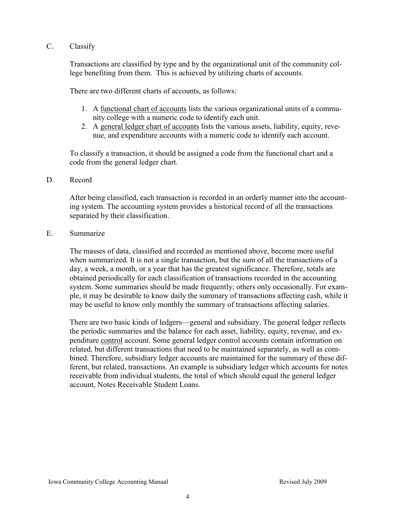# C. Classify

Transactions are classified by type and by the organizational unit of the community college benefiting from them. This is achieved by utilizing charts of accounts.

There are two different charts of accounts, as follows:

- 1. A functional chart of accounts lists the various organizational units of a community college with a numeric code to identify each unit.
- 2. A general ledger chart of accounts lists the various assets, liability, equity, revenue, and expenditure accounts with a numeric code to identify each account.

To classify a transaction, it should be assigned a code from the functional chart and a code from the general ledger chart.

#### D. Record

After being classified, each transaction is recorded in an orderly manner into the accounting system. The accounting system provides a historical record of all the transactions separated by their classification.

#### E. Summarize

The masses of data, classified and recorded as mentioned above, become more useful when summarized. It is not a single transaction, but the sum of all the transactions of a day, a week, a month, or a year that has the greatest significance. Therefore, totals are obtained periodically for each classification of transactions recorded in the accounting system. Some summaries should be made frequently; others only occasionally. For example, it may be desirable to know daily the summary of transactions affecting cash, while it may be useful to know only monthly the summary of transactions affecting salaries.

There are two basic kinds of ledgers—general and subsidiary. The general ledger reflects the periodic summaries and the balance for each asset, liability, equity, revenue, and expenditure control account. Some general ledger control accounts contain information on related, but different transactions that need to be maintained separately, as well as combined. Therefore, subsidiary ledger accounts are maintained for the summary of these different, but related, transactions. An example is subsidiary ledger which accounts for notes receivable from individual students, the total of which should equal the general ledger account, Notes Receivable Student Loans.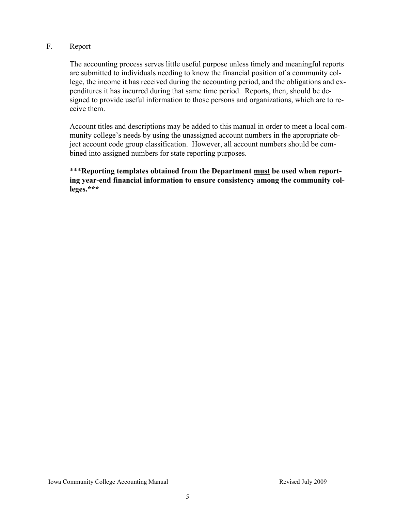# F. Report

The accounting process serves little useful purpose unless timely and meaningful reports are submitted to individuals needing to know the financial position of a community college, the income it has received during the accounting period, and the obligations and expenditures it has incurred during that same time period. Reports, then, should be designed to provide useful information to those persons and organizations, which are to receive them.

Account titles and descriptions may be added to this manual in order to meet a local community college's needs by using the unassigned account numbers in the appropriate object account code group classification. However, all account numbers should be combined into assigned numbers for state reporting purposes.

\*\*\***Reporting templates obtained from the Department must be used when reporting year-end financial information to ensure consistency among the community colleges.\*\*\***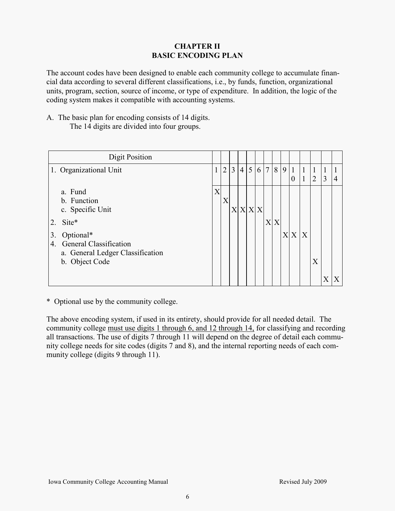# **CHAPTER II BASIC ENCODING PLAN**

The account codes have been designed to enable each community college to accumulate financial data according to several different classifications, i.e., by funds, function, organizational units, program, section, source of income, or type of expenditure. In addition, the logic of the coding system makes it compatible with accounting systems.

A. The basic plan for encoding consists of 14 digits.

The 14 digits are divided into four groups.

| Digit Position                                                                                                                                                         |   |                |                |                |       |   |                           |   |   |                                  |                              |                                |                   |                |
|------------------------------------------------------------------------------------------------------------------------------------------------------------------------|---|----------------|----------------|----------------|-------|---|---------------------------|---|---|----------------------------------|------------------------------|--------------------------------|-------------------|----------------|
| 1. Organizational Unit                                                                                                                                                 |   | $\overline{2}$ | $\overline{3}$ | $\overline{4}$ | 5     | 6 | 7                         | 8 | 9 | $\mathbf{1}$<br>$\boldsymbol{0}$ | $\mathbf{1}$<br>$\mathbf{1}$ | $\mathbf{1}$<br>$\overline{2}$ | $\mathbf{1}$<br>3 | $\overline{4}$ |
| a. Fund<br>b. Function<br>c. Specific Unit<br>2. Site*<br>Optional*<br>3.<br><b>General Classification</b><br>4.<br>a. General Ledger Classification<br>b. Object Code | X | $\lambda$      | X              |                | X X X |   | $\boldsymbol{\mathrm{X}}$ | X |   | XX                               | X                            | X                              |                   |                |

\* Optional use by the community college.

The above encoding system, if used in its entirety, should provide for all needed detail. The community college must use digits 1 through 6, and 12 through 14, for classifying and recording all transactions. The use of digits 7 through 11 will depend on the degree of detail each community college needs for site codes (digits 7 and 8), and the internal reporting needs of each community college (digits 9 through 11).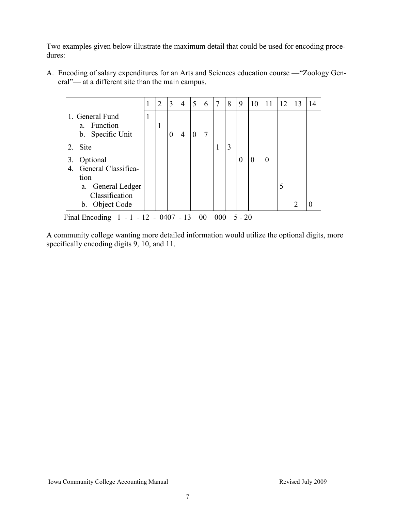Two examples given below illustrate the maximum detail that could be used for encoding procedures:

A. Encoding of salary expenditures for an Arts and Sciences education course — "Zoology General"— at a different site than the main campus.

|                                                                                                              |   | $\overline{2}$ | 3        | $\overline{4}$ | 5        | 6 | 7 | 8 | 9        | 10       | 11       | 12 | 13            | 14 |
|--------------------------------------------------------------------------------------------------------------|---|----------------|----------|----------------|----------|---|---|---|----------|----------|----------|----|---------------|----|
| 1. General Fund<br>Function<br>a.<br>b. Specific Unit                                                        | 1 | 1              | $\Omega$ | $\overline{4}$ | $\theta$ |   |   |   |          |          |          |    |               |    |
| Site<br>2.                                                                                                   |   |                |          |                |          |   |   | 3 |          |          |          |    |               |    |
| Optional<br>3.<br>General Classifica-<br>4.<br>tion<br>a. General Ledger<br>Classification<br>b. Object Code |   |                |          |                |          |   |   |   | $\theta$ | $\Omega$ | $\theta$ | 5  | $\mathcal{D}$ | 0  |

A community college wanting more detailed information would utilize the optional digits, more specifically encoding digits 9, 10, and 11.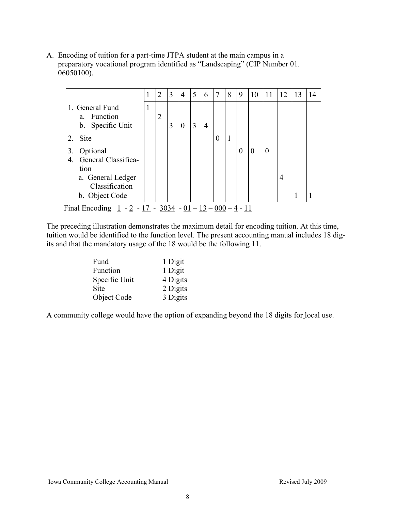A. Encoding of tuition for a part-time JTPA student at the main campus in a preparatory vocational program identified as "Landscaping" (CIP Number 01. 06050100).

| 1. General Fund<br>$\mathbf{1}$<br>a. Function<br>$\overline{2}$<br>b. Specific Unit<br>3<br>3<br>4<br>0<br>$\mathbf{1}$<br>2. Site<br>$\theta$<br>Optional<br>3.<br>0<br>$_{0}$<br>General Classifica-<br>4.<br>tion<br>a. General Ledger<br>4<br>Classification | 5<br>8<br>3<br>9<br>$\overline{2}$<br>4<br>6<br>7<br>12<br>13<br>10<br>11<br>1<br>14 |  |  |  |
|-------------------------------------------------------------------------------------------------------------------------------------------------------------------------------------------------------------------------------------------------------------------|--------------------------------------------------------------------------------------|--|--|--|
|                                                                                                                                                                                                                                                                   |                                                                                      |  |  |  |
|                                                                                                                                                                                                                                                                   |                                                                                      |  |  |  |
| b. Object Code                                                                                                                                                                                                                                                    |                                                                                      |  |  |  |

The preceding illustration demonstrates the maximum detail for encoding tuition. At this time, tuition would be identified to the function level. The present accounting manual includes 18 digits and that the mandatory usage of the 18 would be the following 11.

| Fund          | 1 Digit  |
|---------------|----------|
| Function      | 1 Digit  |
| Specific Unit | 4 Digits |
| Site          | 2 Digits |
| Object Code   | 3 Digits |

A community college would have the option of expanding beyond the 18 digits for local use.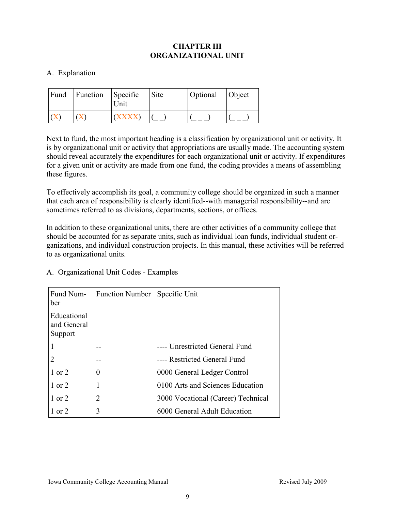# **CHAPTER III ORGANIZATIONAL UNIT**

# A. Explanation

| Fund | Function | Specific<br>Unit | Site | Optional | Object |
|------|----------|------------------|------|----------|--------|
|      |          |                  |      |          |        |

Next to fund, the most important heading is a classification by organizational unit or activity. It is by organizational unit or activity that appropriations are usually made. The accounting system should reveal accurately the expenditures for each organizational unit or activity. If expenditures for a given unit or activity are made from one fund, the coding provides a means of assembling these figures.

To effectively accomplish its goal, a community college should be organized in such a manner that each area of responsibility is clearly identified--with managerial responsibility--and are sometimes referred to as divisions, departments, sections, or offices.

In addition to these organizational units, there are other activities of a community college that should be accounted for as separate units, such as individual loan funds, individual student organizations, and individual construction projects. In this manual, these activities will be referred to as organizational units.

| Fund Num-<br>ber                      | <b>Function Number</b> | Specific Unit                      |
|---------------------------------------|------------------------|------------------------------------|
| Educational<br>and General<br>Support |                        |                                    |
|                                       |                        | ---- Unrestricted General Fund     |
|                                       |                        | ---- Restricted General Fund       |
| $1$ or $2$                            | 0                      | 0000 General Ledger Control        |
| 1 or 2                                | 1                      | 0100 Arts and Sciences Education   |
| $1$ or $2$                            | 2                      | 3000 Vocational (Career) Technical |
| $1$ or $2$                            | 3                      | 6000 General Adult Education       |

|  | A. Organizational Unit Codes - Examples |  |  |
|--|-----------------------------------------|--|--|
|--|-----------------------------------------|--|--|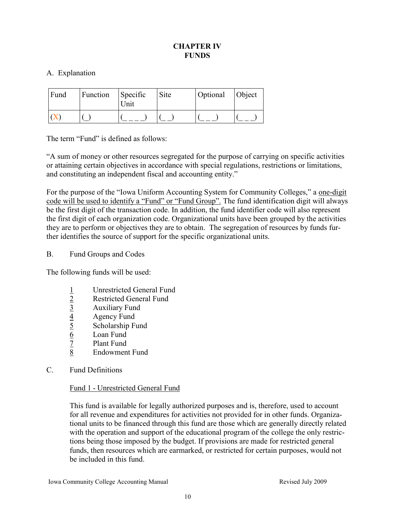# **CHAPTER IV FUNDS**

# A. Explanation

| Fund | Function | Specific<br>Unit | Site | Optional | Object |
|------|----------|------------------|------|----------|--------|
|      |          |                  |      |          |        |

The term "Fund" is defined as follows:

―A sum of money or other resources segregated for the purpose of carrying on specific activities or attaining certain objectives in accordance with special regulations, restrictions or limitations, and constituting an independent fiscal and accounting entity."

For the purpose of the "Iowa Uniform Accounting System for Community Colleges," a one-digit code will be used to identify a "Fund" or "Fund Group". The fund identification digit will always be the first digit of the transaction code. In addition, the fund identifier code will also represent the first digit of each organization code. Organizational units have been grouped by the activities they are to perform or objectives they are to obtain. The segregation of resources by funds further identifies the source of support for the specific organizational units.

# B. Fund Groups and Codes

The following funds will be used:

- 
- 1 Unrestricted General Fund<br>2 Restricted General Fund Restricted General Fund
- 
- 4 Agency Fund
- $\frac{3}{4}$  Auxiliary Fund<br>  $\frac{4}{5}$  Agency Fund<br>
Scholarship Fund<br>
Coan Fund Scholarship Fund
- 
- $\frac{6}{7}$  Loan Fund<br>Plant Fund Plant Fund
- 8 Endowment Fund
- C. Fund Definitions

# Fund 1 - Unrestricted General Fund

This fund is available for legally authorized purposes and is, therefore, used to account for all revenue and expenditures for activities not provided for in other funds. Organizational units to be financed through this fund are those which are generally directly related with the operation and support of the educational program of the college the only restrictions being those imposed by the budget. If provisions are made for restricted general funds, then resources which are earmarked, or restricted for certain purposes, would not be included in this fund.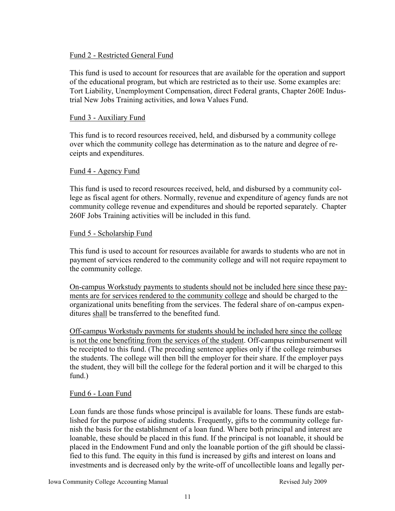# Fund 2 - Restricted General Fund

This fund is used to account for resources that are available for the operation and support of the educational program, but which are restricted as to their use. Some examples are: Tort Liability, Unemployment Compensation, direct Federal grants, Chapter 260E Industrial New Jobs Training activities, and Iowa Values Fund.

### Fund 3 - Auxiliary Fund

This fund is to record resources received, held, and disbursed by a community college over which the community college has determination as to the nature and degree of receipts and expenditures.

#### Fund 4 - Agency Fund

This fund is used to record resources received, held, and disbursed by a community college as fiscal agent for others. Normally, revenue and expenditure of agency funds are not community college revenue and expenditures and should be reported separately. Chapter 260F Jobs Training activities will be included in this fund.

#### Fund 5 - Scholarship Fund

This fund is used to account for resources available for awards to students who are not in payment of services rendered to the community college and will not require repayment to the community college.

On-campus Workstudy payments to students should not be included here since these payments are for services rendered to the community college and should be charged to the organizational units benefiting from the services. The federal share of on-campus expenditures shall be transferred to the benefited fund.

Off-campus Workstudy payments for students should be included here since the college is not the one benefiting from the services of the student. Off-campus reimbursement will be receipted to this fund. (The preceding sentence applies only if the college reimburses the students. The college will then bill the employer for their share. If the employer pays the student, they will bill the college for the federal portion and it will be charged to this fund.)

#### Fund 6 - Loan Fund

Loan funds are those funds whose principal is available for loans. These funds are established for the purpose of aiding students. Frequently, gifts to the community college furnish the basis for the establishment of a loan fund. Where both principal and interest are loanable, these should be placed in this fund. If the principal is not loanable, it should be placed in the Endowment Fund and only the loanable portion of the gift should be classified to this fund. The equity in this fund is increased by gifts and interest on loans and investments and is decreased only by the write-off of uncollectible loans and legally per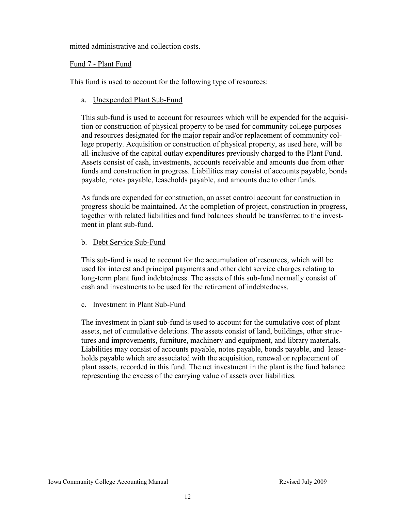mitted administrative and collection costs.

# Fund 7 - Plant Fund

This fund is used to account for the following type of resources:

a. Unexpended Plant Sub-Fund

This sub-fund is used to account for resources which will be expended for the acquisition or construction of physical property to be used for community college purposes and resources designated for the major repair and/or replacement of community college property. Acquisition or construction of physical property, as used here, will be all-inclusive of the capital outlay expenditures previously charged to the Plant Fund. Assets consist of cash, investments, accounts receivable and amounts due from other funds and construction in progress. Liabilities may consist of accounts payable, bonds payable, notes payable, leaseholds payable, and amounts due to other funds.

As funds are expended for construction, an asset control account for construction in progress should be maintained. At the completion of project, construction in progress, together with related liabilities and fund balances should be transferred to the investment in plant sub-fund.

# b. Debt Service Sub-Fund

This sub-fund is used to account for the accumulation of resources, which will be used for interest and principal payments and other debt service charges relating to long-term plant fund indebtedness. The assets of this sub-fund normally consist of cash and investments to be used for the retirement of indebtedness.

c. Investment in Plant Sub-Fund

The investment in plant sub-fund is used to account for the cumulative cost of plant assets, net of cumulative deletions. The assets consist of land, buildings, other structures and improvements, furniture, machinery and equipment, and library materials. Liabilities may consist of accounts payable, notes payable, bonds payable, and leaseholds payable which are associated with the acquisition, renewal or replacement of plant assets, recorded in this fund. The net investment in the plant is the fund balance representing the excess of the carrying value of assets over liabilities.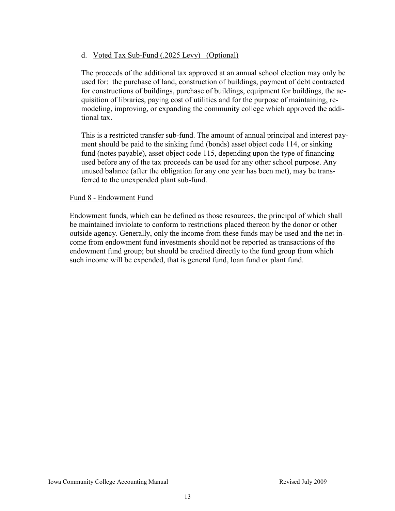# d. Voted Tax Sub-Fund (.2025 Levy) (Optional)

The proceeds of the additional tax approved at an annual school election may only be used for: the purchase of land, construction of buildings, payment of debt contracted for constructions of buildings, purchase of buildings, equipment for buildings, the acquisition of libraries, paying cost of utilities and for the purpose of maintaining, remodeling, improving, or expanding the community college which approved the additional tax.

This is a restricted transfer sub-fund. The amount of annual principal and interest payment should be paid to the sinking fund (bonds) asset object code 114, or sinking fund (notes payable), asset object code 115, depending upon the type of financing used before any of the tax proceeds can be used for any other school purpose. Any unused balance (after the obligation for any one year has been met), may be transferred to the unexpended plant sub-fund.

# Fund 8 - Endowment Fund

Endowment funds, which can be defined as those resources, the principal of which shall be maintained inviolate to conform to restrictions placed thereon by the donor or other outside agency. Generally, only the income from these funds may be used and the net income from endowment fund investments should not be reported as transactions of the endowment fund group; but should be credited directly to the fund group from which such income will be expended, that is general fund, loan fund or plant fund.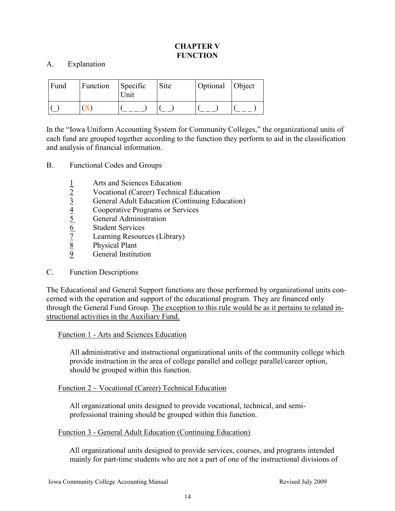# **CHAPTER V FUNCTION**

# A. Explanation

| Fund | Function | Specific<br>Unit | Site | Optional Object |  |
|------|----------|------------------|------|-----------------|--|
|      |          |                  |      |                 |  |

In the "Iowa Uniform Accounting System for Community Colleges," the organizational units of each fund are grouped together according to the function they perform to aid in the classification and analysis of financial information.

- B. Functional Codes and Groups
	- 1 Arts and Sciences Education
	-
	- 2 Vocational (Career) Technical Education<br>  $\frac{3}{4}$  General Adult Education (Continuing Education<br>  $\frac{4}{5}$  General Administration<br>  $\frac{6}{2}$  Student Services<br>  $\frac{7}{2}$  Learning Resources (Library)<br>  $\frac{8}{2}$  Physical 3 General Adult Education (Continuing Education)
	- 4 Cooperative Programs or Services
	- 5 General Administration
	- **Student Services**
	- Learning Resources (Library)
	- Physical Plant
	- General Institution

#### C. Function Descriptions

The Educational and General Support functions are those performed by organizational units concerned with the operation and support of the educational program. They are financed only through the General Fund Group. The exception to this rule would be as it pertains to related instructional activities in the Auxiliary Fund.

#### Function 1 - Arts and Sciences Education

All administrative and instructional organizational units of the community college which provide instruction in the area of college parallel and college parallel/career option, should be grouped within this function.

#### Function 2 – Vocational (Career) Technical Education

All organizational units designed to provide vocational, technical, and semiprofessional training should be grouped within this function.

#### Function 3 - General Adult Education (Continuing Education)

All organizational units designed to provide services, courses, and programs intended mainly for part-time students who are not a part of one of the instructional divisions of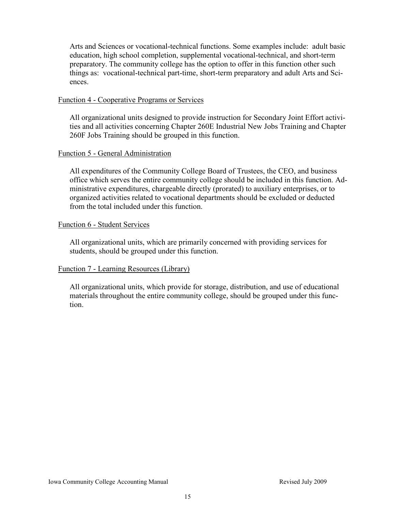Arts and Sciences or vocational-technical functions. Some examples include: adult basic education, high school completion, supplemental vocational-technical, and short-term preparatory. The community college has the option to offer in this function other such things as: vocational-technical part-time, short-term preparatory and adult Arts and Sciences.

#### Function 4 - Cooperative Programs or Services

All organizational units designed to provide instruction for Secondary Joint Effort activities and all activities concerning Chapter 260E Industrial New Jobs Training and Chapter 260F Jobs Training should be grouped in this function.

# Function 5 - General Administration

All expenditures of the Community College Board of Trustees, the CEO, and business office which serves the entire community college should be included in this function. Administrative expenditures, chargeable directly (prorated) to auxiliary enterprises, or to organized activities related to vocational departments should be excluded or deducted from the total included under this function.

#### Function 6 - Student Services

All organizational units, which are primarily concerned with providing services for students, should be grouped under this function.

# Function 7 - Learning Resources (Library)

All organizational units, which provide for storage, distribution, and use of educational materials throughout the entire community college, should be grouped under this function.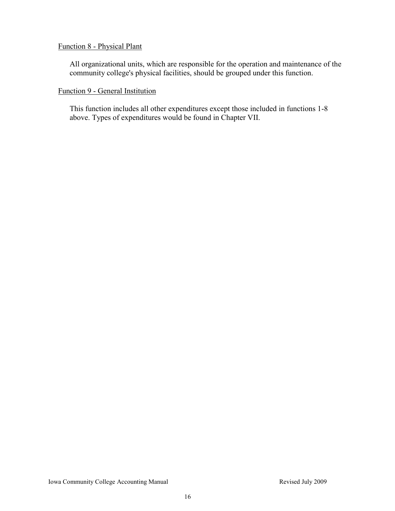# Function 8 - Physical Plant

All organizational units, which are responsible for the operation and maintenance of the community college's physical facilities, should be grouped under this function.

# Function 9 - General Institution

This function includes all other expenditures except those included in functions 1-8 above. Types of expenditures would be found in Chapter VII.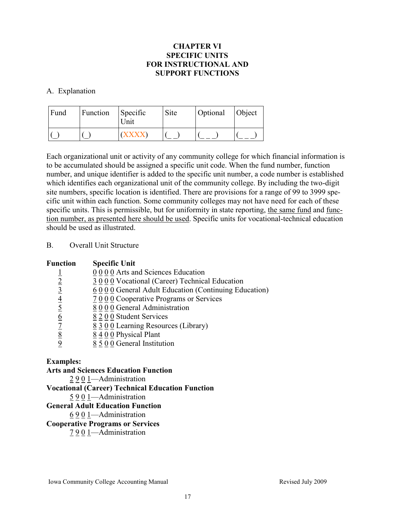# **CHAPTER VI SPECIFIC UNITS FOR INSTRUCTIONAL AND SUPPORT FUNCTIONS**

# A. Explanation

| Fund | Function | Specific<br>Unit | Site | Optional | <b>Object</b> |
|------|----------|------------------|------|----------|---------------|
|      |          |                  |      |          |               |

Each organizational unit or activity of any community college for which financial information is to be accumulated should be assigned a specific unit code. When the fund number, function number, and unique identifier is added to the specific unit number, a code number is established which identifies each organizational unit of the community college. By including the two-digit site numbers, specific location is identified. There are provisions for a range of 99 to 3999 specific unit within each function. Some community colleges may not have need for each of these specific units. This is permissible, but for uniformity in state reporting, the same fund and function number, as presented here should be used. Specific units for vocational-technical education should be used as illustrated.

# B. Overall Unit Structure

| <b>Function</b> | <b>Specific Unit</b>                                |
|-----------------|-----------------------------------------------------|
|                 | 0 0 0 0 Arts and Sciences Education                 |
| $\overline{2}$  | 3000 Vocational (Career) Technical Education        |
| $\overline{3}$  | 6000 General Adult Education (Continuing Education) |
| $\overline{4}$  | 7 0 0 0 Cooperative Programs or Services            |
| $\overline{5}$  | 8000 General Administration                         |
| $\underline{6}$ | 8 2 0 0 Student Services                            |
|                 | $8300$ Learning Resources (Library)                 |
| <u>8</u>        | 8 4 0 0 Physical Plant                              |
|                 | $8\overline{5}$ 0 0 General Institution             |

#### **Examples:**

# **Arts and Sciences Education Function**

2 9 0 1—Administration

#### **Vocational (Career) Technical Education Function**

5 9 0 1—Administration

#### **General Adult Education Function**

6 9 0 1—Administration

### **Cooperative Programs or Services**

7 9 0 1—Administration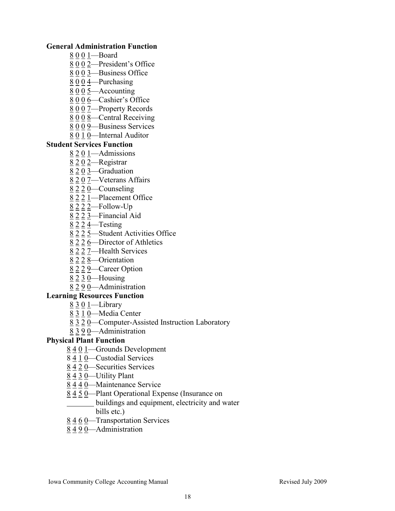### **General Administration Function**

- 8 0 0 1—Board
- 8 0 0 2—President's Office
- 8 0 0 3—Business Office
- 8 0 0 4—Purchasing
- $8005$ —Accounting
- 8 0 0 6—Cashier's Office
- 8 0 0 7—Property Records
- 8 0 0 8—Central Receiving
- 8 0 0 9—Business Services
- 8 0 1 0—Internal Auditor

# **Student Services Function**

- 8 2 0 1—Admissions
- 8 2 0 2-Registrar
- 8 2 0 3—Graduation
- 8 2 0 7—Veterans Affairs
- 8 2 2 0—Counseling
- 8 2 2 1—Placement Office
- 8 2 2 2—Follow-Up
- 8 2 2 3—Financial Aid
- $8$  2  $2$   $4$ —Testing
- 8 2 2 5—Student Activities Office
- 8 2 2 6—Director of Athletics
- 8 2 2 7—Health Services
- 8 2 2 8—Orientation
- 8 2 2 9—Career Option
- 8 2 3 0—Housing

# 8 2 9 0—Administration

# **Learning Resources Function**

- 8 3 0 1 Library
- 8 3 1 0—Media Center
- 8 3 2 0—Computer-Assisted Instruction Laboratory
- 8 3 9 0—Administration

# **Physical Plant Function**

- 8 4 0 1—Grounds Development
- 8 4 1 0—Custodial Services
- 8 4 2 0—Securities Services
- 8 4 3 0—Utility Plant
- 8 4 4 0—Maintenance Service
- 8 4 5 0—Plant Operational Expense (Insurance on
	- buildings and equipment, electricity and water bills etc.)
- 8 4 6 0—Transportation Services
- 8 4 9 0—Administration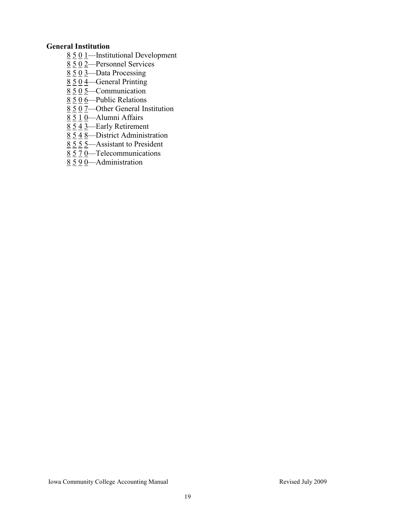# **General Institution**

- 8 5 0 1—Institutional Development
- 8 5 0 2—Personnel Services
- 8 5 0 3—Data Processing
- 8 5 0 4—General Printing
- 8 5 0 5—Communication
- 8 5 0 6—Public Relations
- 8 5 0 7—Other General Institution
- 8 5 1 0—Alumni Affairs
- 8 5 4 3—Early Retirement
- $8\overline{548}$ —District Administration
- $8\overline{5}$   $\overline{5}$   $\overline{5}$   $\overline{5}$   $\overline{5}$   $\overline{5}$   $\overline{5}$   $\overline{5}$   $\overline{5}$   $\overline{5}$   $\overline{5}$   $\overline{5}$   $\overline{5}$   $\overline{5}$   $\overline{5}$   $\overline{5}$   $\overline{5}$   $\overline{5}$   $\overline{5}$   $\overline{5}$   $\overline{5}$   $\overline{5}$   $\overline{5}$   $\overline{5}$   $\overline$
- $8\overline{5}$   $\overline{7}$  0—Telecommunications
- 8 5 9 0—Administration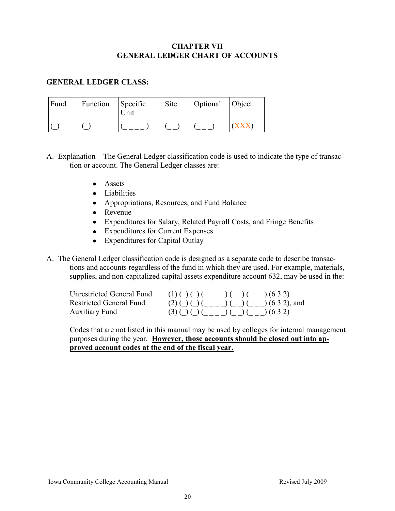# **CHAPTER VII GENERAL LEDGER CHART OF ACCOUNTS**

# **GENERAL LEDGER CLASS:**

| Fund | Function | Specific<br>Unit | Site | Optional | Object |
|------|----------|------------------|------|----------|--------|
|      |          |                  |      |          |        |

A. Explanation—The General Ledger classification code is used to indicate the type of transaction or account. The General Ledger classes are:

- Assets
- Liabilities
- Appropriations, Resources, and Fund Balance
- Revenue
- Expenditures for Salary, Related Payroll Costs, and Fringe Benefits
- Expenditures for Current Expenses
- Expenditures for Capital Outlay

A. The General Ledger classification code is designed as a separate code to describe transactions and accounts regardless of the fund in which they are used. For example, materials, supplies, and non-capitalized capital assets expenditure account 632, may be used in the:

| Unrestricted General Fund | $(1)( ) ( ) ( ) ( ) ( ) ( ) ( ) ( 0 ( 3 2)$ |
|---------------------------|---------------------------------------------|
| Restricted General Fund   | $(2)$ ( ) ( ) ( ) ( ) ( ) ( 6 3 2), and     |
| <b>Auxiliary Fund</b>     | $(3)( ) ( ) ( ) ( ) ( ) ( ) ( ) ( 0 ( 32)$  |

Codes that are not listed in this manual may be used by colleges for internal management purposes during the year. **However, those accounts should be closed out into approved account codes at the end of the fiscal year.**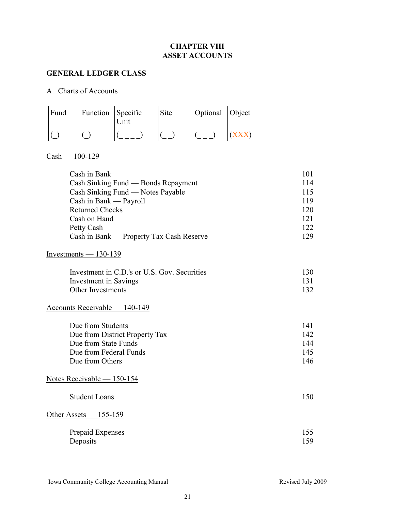# **CHAPTER VIII ASSET ACCOUNTS**

### **GENERAL LEDGER CLASS**

#### A. Charts of Accounts

| Fund | <b>Function</b> Specific | "Jnit | Site | Optional Object |  |
|------|--------------------------|-------|------|-----------------|--|
|      |                          |       |      |                 |  |

# $Cash - 100 - 129$

| Cash in Bank                             | 101  |
|------------------------------------------|------|
| Cash Sinking Fund — Bonds Repayment      | 114  |
| Cash Sinking Fund — Notes Payable        | 115  |
| Cash in Bank — Payroll                   | 119  |
| <b>Returned Checks</b>                   | 120  |
| Cash on Hand                             | 121  |
| Petty Cash                               | 122. |
| Cash in Bank — Property Tax Cash Reserve | 129  |

# Investments — 130-139

| Investment in C.D.'s or U.S. Gov. Securities | 130  |
|----------------------------------------------|------|
| Investment in Savings                        | -131 |
| Other Investments                            | 132  |

# Accounts Receivable — 140-149

| 141  |
|------|
| 142. |
| 144  |
| 145  |
| 146. |
|      |

# Notes Receivable — 150-154

| <b>Student Loans</b>         | 150        |
|------------------------------|------------|
| Other Assets $-155-159$      |            |
| Prepaid Expenses<br>Deposits | 155<br>159 |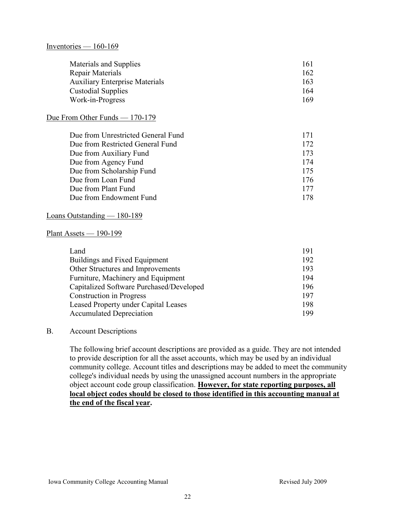#### Inventories  $-160-169$

| Materials and Supplies                | 161 |
|---------------------------------------|-----|
| Repair Materials                      | 162 |
| <b>Auxiliary Enterprise Materials</b> | 163 |
| <b>Custodial Supplies</b>             | 164 |
| Work-in-Progress                      | 169 |

#### Due From Other Funds — 170-179

| Due from Unrestricted General Fund | 171 |
|------------------------------------|-----|
| Due from Restricted General Fund   | 172 |
| Due from Auxiliary Fund            | 173 |
| Due from Agency Fund               | 174 |
| Due from Scholarship Fund          | 175 |
| Due from Loan Fund                 | 176 |
| Due from Plant Fund                | 177 |
| Due from Endowment Fund            | 178 |

#### Loans Outstanding — 180-189

#### Plant Assets — 190-199

| Land                                        | 191 |
|---------------------------------------------|-----|
| Buildings and Fixed Equipment               | 192 |
| Other Structures and Improvements           | 193 |
| Furniture, Machinery and Equipment          | 194 |
| Capitalized Software Purchased/Developed    | 196 |
| <b>Construction in Progress</b>             | 197 |
| <b>Leased Property under Capital Leases</b> | 198 |
| <b>Accumulated Depreciation</b>             | 199 |

#### B. Account Descriptions

The following brief account descriptions are provided as a guide. They are not intended to provide description for all the asset accounts, which may be used by an individual community college. Account titles and descriptions may be added to meet the community college's individual needs by using the unassigned account numbers in the appropriate object account code group classification. **However, for state reporting purposes, all local object codes should be closed to those identified in this accounting manual at the end of the fiscal year.**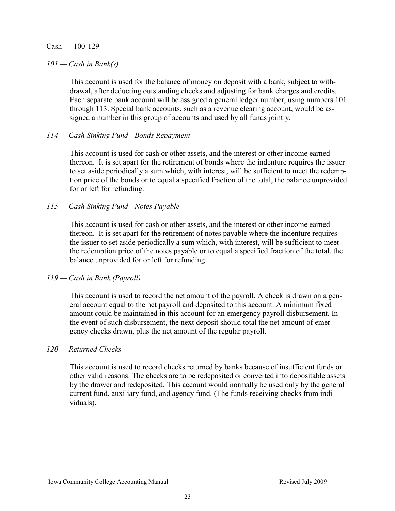#### $Cash - 100-129$

### *101 — Cash in Bank(s)*

This account is used for the balance of money on deposit with a bank, subject to withdrawal, after deducting outstanding checks and adjusting for bank charges and credits. Each separate bank account will be assigned a general ledger number, using numbers 101 through 113. Special bank accounts, such as a revenue clearing account, would be assigned a number in this group of accounts and used by all funds jointly.

# *114 — Cash Sinking Fund - Bonds Repayment*

This account is used for cash or other assets, and the interest or other income earned thereon. It is set apart for the retirement of bonds where the indenture requires the issuer to set aside periodically a sum which, with interest, will be sufficient to meet the redemption price of the bonds or to equal a specified fraction of the total, the balance unprovided for or left for refunding.

# *115 — Cash Sinking Fund - Notes Payable*

This account is used for cash or other assets, and the interest or other income earned thereon. It is set apart for the retirement of notes payable where the indenture requires the issuer to set aside periodically a sum which, with interest, will be sufficient to meet the redemption price of the notes payable or to equal a specified fraction of the total, the balance unprovided for or left for refunding.

#### *119 — Cash in Bank (Payroll)*

This account is used to record the net amount of the payroll. A check is drawn on a general account equal to the net payroll and deposited to this account. A minimum fixed amount could be maintained in this account for an emergency payroll disbursement. In the event of such disbursement, the next deposit should total the net amount of emergency checks drawn, plus the net amount of the regular payroll.

#### *120 — Returned Checks*

This account is used to record checks returned by banks because of insufficient funds or other valid reasons. The checks are to be redeposited or converted into depositable assets by the drawer and redeposited. This account would normally be used only by the general current fund, auxiliary fund, and agency fund. (The funds receiving checks from individuals).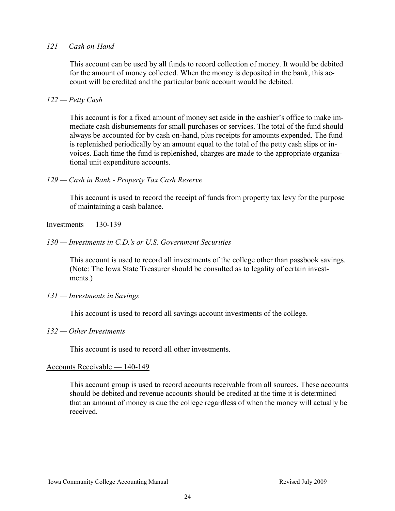#### $121 - Cash$  on-Hand

This account can be used by all funds to record collection of money. It would be debited for the amount of money collected. When the money is deposited in the bank, this account will be credited and the particular bank account would be debited.

# *122 — Petty Cash*

This account is for a fixed amount of money set aside in the cashier's office to make immediate cash disbursements for small purchases or services. The total of the fund should always be accounted for by cash on-hand, plus receipts for amounts expended. The fund is replenished periodically by an amount equal to the total of the petty cash slips or invoices. Each time the fund is replenished, charges are made to the appropriate organizational unit expenditure accounts.

# *129 — Cash in Bank - Property Tax Cash Reserve*

This account is used to record the receipt of funds from property tax levy for the purpose of maintaining a cash balance.

#### $Investments - 130-139$

#### *130 — Investments in C.D.'s or U.S. Government Securities*

This account is used to record all investments of the college other than passbook savings. (Note: The Iowa State Treasurer should be consulted as to legality of certain investments.)

#### *131 — Investments in Savings*

This account is used to record all savings account investments of the college.

#### *132 — Other Investments*

This account is used to record all other investments.

#### Accounts Receivable — 140-149

This account group is used to record accounts receivable from all sources. These accounts should be debited and revenue accounts should be credited at the time it is determined that an amount of money is due the college regardless of when the money will actually be received.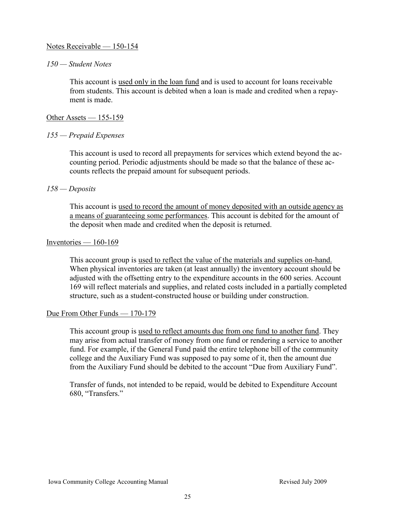# Notes Receivable — 150-154

#### *150 — Student Notes*

This account is used only in the loan fund and is used to account for loans receivable from students. This account is debited when a loan is made and credited when a repayment is made

#### Other Assets — 155-159

#### *155 — Prepaid Expenses*

This account is used to record all prepayments for services which extend beyond the accounting period. Periodic adjustments should be made so that the balance of these accounts reflects the prepaid amount for subsequent periods.

#### *158 — Deposits*

This account is used to record the amount of money deposited with an outside agency as a means of guaranteeing some performances. This account is debited for the amount of the deposit when made and credited when the deposit is returned.

#### Inventories  $-160-169$

This account group is used to reflect the value of the materials and supplies on-hand. When physical inventories are taken (at least annually) the inventory account should be adjusted with the offsetting entry to the expenditure accounts in the 600 series. Account 169 will reflect materials and supplies, and related costs included in a partially completed structure, such as a student-constructed house or building under construction.

#### Due From Other Funds — 170-179

This account group is used to reflect amounts due from one fund to another fund. They may arise from actual transfer of money from one fund or rendering a service to another fund. For example, if the General Fund paid the entire telephone bill of the community college and the Auxiliary Fund was supposed to pay some of it, then the amount due from the Auxiliary Fund should be debited to the account "Due from Auxiliary Fund".

Transfer of funds, not intended to be repaid, would be debited to Expenditure Account 680, "Transfers."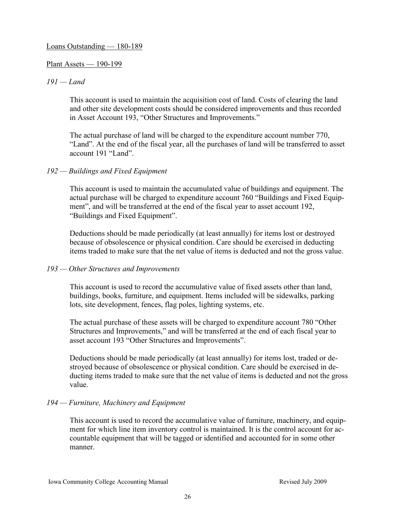#### Loans Outstanding — 180-189

#### Plant Assets — 190-199

### *191 — Land*

This account is used to maintain the acquisition cost of land. Costs of clearing the land and other site development costs should be considered improvements and thus recorded in Asset Account 193, "Other Structures and Improvements."

The actual purchase of land will be charged to the expenditure account number 770, ―Land‖. At the end of the fiscal year, all the purchases of land will be transferred to asset account 191 "Land".

# *192 — Buildings and Fixed Equipment*

This account is used to maintain the accumulated value of buildings and equipment. The actual purchase will be charged to expenditure account 760 "Buildings and Fixed Equipment", and will be transferred at the end of the fiscal year to asset account 192, "Buildings and Fixed Equipment".

Deductions should be made periodically (at least annually) for items lost or destroyed because of obsolescence or physical condition. Care should be exercised in deducting items traded to make sure that the net value of items is deducted and not the gross value.

#### *193 — Other Structures and Improvements*

This account is used to record the accumulative value of fixed assets other than land, buildings, books, furniture, and equipment. Items included will be sidewalks, parking lots, site development, fences, flag poles, lighting systems, etc.

The actual purchase of these assets will be charged to expenditure account 780 "Other Structures and Improvements," and will be transferred at the end of each fiscal year to asset account 193 "Other Structures and Improvements".

Deductions should be made periodically (at least annually) for items lost, traded or destroyed because of obsolescence or physical condition. Care should be exercised in deducting items traded to make sure that the net value of items is deducted and not the gross value.

# *194 — Furniture, Machinery and Equipment*

This account is used to record the accumulative value of furniture, machinery, and equipment for which line item inventory control is maintained. It is the control account for accountable equipment that will be tagged or identified and accounted for in some other manner.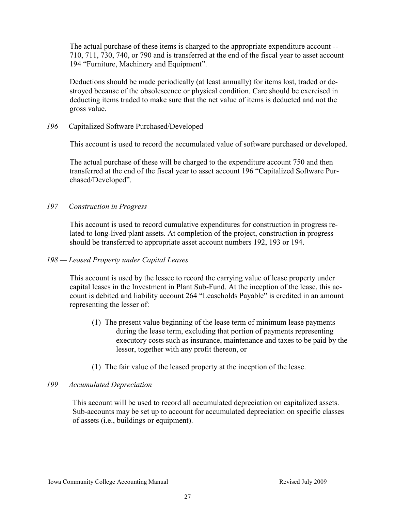The actual purchase of these items is charged to the appropriate expenditure account -- 710, 711, 730, 740, or 790 and is transferred at the end of the fiscal year to asset account 194 "Furniture, Machinery and Equipment".

Deductions should be made periodically (at least annually) for items lost, traded or destroyed because of the obsolescence or physical condition. Care should be exercised in deducting items traded to make sure that the net value of items is deducted and not the gross value.

*196 —* Capitalized Software Purchased/Developed

This account is used to record the accumulated value of software purchased or developed.

The actual purchase of these will be charged to the expenditure account 750 and then transferred at the end of the fiscal year to asset account 196 "Capitalized Software Purchased/Developed".

#### *197 — Construction in Progress*

This account is used to record cumulative expenditures for construction in progress related to long-lived plant assets. At completion of the project, construction in progress should be transferred to appropriate asset account numbers 192, 193 or 194.

#### *198 — Leased Property under Capital Leases*

This account is used by the lessee to record the carrying value of lease property under capital leases in the Investment in Plant Sub-Fund. At the inception of the lease, this account is debited and liability account 264 "Leaseholds Payable" is credited in an amount representing the lesser of:

- (1) The present value beginning of the lease term of minimum lease payments during the lease term, excluding that portion of payments representing executory costs such as insurance, maintenance and taxes to be paid by the lessor, together with any profit thereon, or
- (1) The fair value of the leased property at the inception of the lease.

# *199 — Accumulated Depreciation*

This account will be used to record all accumulated depreciation on capitalized assets. Sub-accounts may be set up to account for accumulated depreciation on specific classes of assets (i.e., buildings or equipment).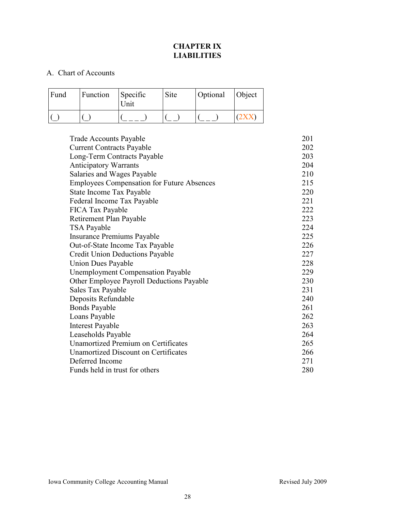# **CHAPTER IX LIABILITIES**

# A. Chart of Accounts

| Fund | Function | Specific<br>Unit | Site | Optional | <b>Object</b> |
|------|----------|------------------|------|----------|---------------|
|      |          |                  |      |          |               |

| <b>Trade Accounts Payable</b>                     | 201 |
|---------------------------------------------------|-----|
| <b>Current Contracts Payable</b>                  | 202 |
| Long-Term Contracts Payable                       | 203 |
| <b>Anticipatory Warrants</b>                      | 204 |
| Salaries and Wages Payable                        | 210 |
| <b>Employees Compensation for Future Absences</b> | 215 |
| State Income Tax Payable                          | 220 |
| Federal Income Tax Payable                        | 221 |
| FICA Tax Payable                                  | 222 |
| Retirement Plan Payable                           | 223 |
| TSA Payable                                       | 224 |
| <b>Insurance Premiums Payable</b>                 | 225 |
| Out-of-State Income Tax Payable                   | 226 |
| <b>Credit Union Deductions Payable</b>            | 227 |
| <b>Union Dues Payable</b>                         | 228 |
| <b>Unemployment Compensation Payable</b>          | 229 |
| Other Employee Payroll Deductions Payable         | 230 |
| Sales Tax Payable                                 | 231 |
| Deposits Refundable                               | 240 |
| <b>Bonds Payable</b>                              | 261 |
| Loans Payable                                     | 262 |
| <b>Interest Payable</b>                           | 263 |
| Leaseholds Payable                                | 264 |
| <b>Unamortized Premium on Certificates</b>        | 265 |
| Unamortized Discount on Certificates              | 266 |
| Deferred Income                                   | 271 |
| Funds held in trust for others                    | 280 |
|                                                   |     |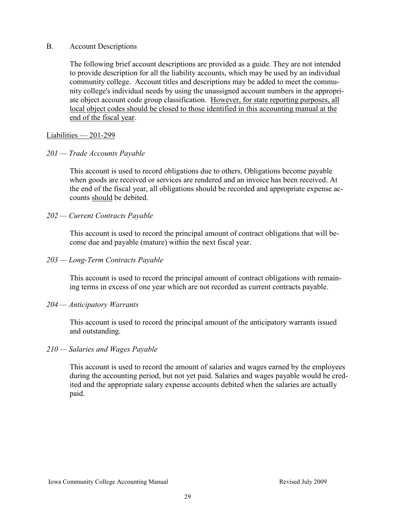### B. Account Descriptions

The following brief account descriptions are provided as a guide. They are not intended to provide description for all the liability accounts, which may be used by an individual community college. Account titles and descriptions may be added to meet the community college's individual needs by using the unassigned account numbers in the appropriate object account code group classification. However, for state reporting purposes, all local object codes should be closed to those identified in this accounting manual at the end of the fiscal year.

# Liabilities — 201-299

# *201 — Trade Accounts Payable*

This account is used to record obligations due to others. Obligations become payable when goods are received or services are rendered and an invoice has been received. At the end of the fiscal year, all obligations should be recorded and appropriate expense accounts should be debited.

# *202 — Current Contracts Payable*

This account is used to record the principal amount of contract obligations that will become due and payable (mature) within the next fiscal year.

# *203 — Long-Term Contracts Payable*

This account is used to record the principal amount of contract obligations with remaining terms in excess of one year which are not recorded as current contracts payable.

# *204 — Anticipatory Warrants*

This account is used to record the principal amount of the anticipatory warrants issued and outstanding.

# *210 — Salaries and Wages Payable*

This account is used to record the amount of salaries and wages earned by the employees during the accounting period, but not yet paid. Salaries and wages payable would be credited and the appropriate salary expense accounts debited when the salaries are actually paid.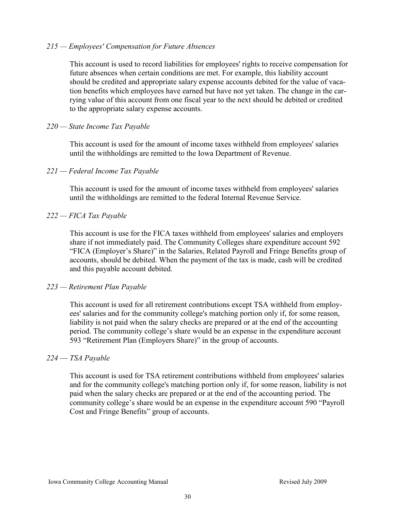#### *215 — Employees' Compensation for Future Absences*

This account is used to record liabilities for employees' rights to receive compensation for future absences when certain conditions are met. For example, this liability account should be credited and appropriate salary expense accounts debited for the value of vacation benefits which employees have earned but have not yet taken. The change in the carrying value of this account from one fiscal year to the next should be debited or credited to the appropriate salary expense accounts.

### *220 — State Income Tax Payable*

This account is used for the amount of income taxes withheld from employees' salaries until the withholdings are remitted to the Iowa Department of Revenue.

# *221 — Federal Income Tax Payable*

This account is used for the amount of income taxes withheld from employees' salaries until the withholdings are remitted to the federal Internal Revenue Service.

# *222 — FICA Tax Payable*

This account is use for the FICA taxes withheld from employees' salaries and employers share if not immediately paid. The Community Colleges share expenditure account 592 "FICA (Employer's Share)" in the Salaries, Related Payroll and Fringe Benefits group of accounts, should be debited. When the payment of the tax is made, cash will be credited and this payable account debited.

#### *223 — Retirement Plan Payable*

This account is used for all retirement contributions except TSA withheld from employees' salaries and for the community college's matching portion only if, for some reason, liability is not paid when the salary checks are prepared or at the end of the accounting period. The community college's share would be an expense in the expenditure account 593 "Retirement Plan (Employers Share)" in the group of accounts.

# *224* — *TSA Payable*

This account is used for TSA retirement contributions withheld from employees' salaries and for the community college's matching portion only if, for some reason, liability is not paid when the salary checks are prepared or at the end of the accounting period. The community college's share would be an expense in the expenditure account 590 "Payroll" Cost and Fringe Benefits" group of accounts.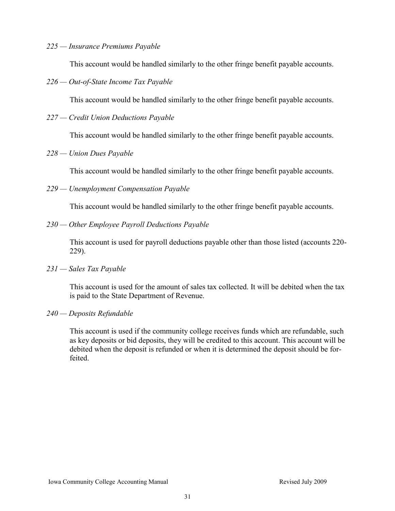#### *225 — Insurance Premiums Payable*

This account would be handled similarly to the other fringe benefit payable accounts.

*226 — Out-of-State Income Tax Payable* 

This account would be handled similarly to the other fringe benefit payable accounts.

*227 — Credit Union Deductions Payable* 

This account would be handled similarly to the other fringe benefit payable accounts.

*228 — Union Dues Payable* 

This account would be handled similarly to the other fringe benefit payable accounts.

*229 — Unemployment Compensation Payable* 

This account would be handled similarly to the other fringe benefit payable accounts.

*230 — Other Employee Payroll Deductions Payable* 

This account is used for payroll deductions payable other than those listed (accounts 220- 229).

*231 — Sales Tax Payable* 

This account is used for the amount of sales tax collected. It will be debited when the tax is paid to the State Department of Revenue.

*240 — Deposits Refundable* 

This account is used if the community college receives funds which are refundable, such as key deposits or bid deposits, they will be credited to this account. This account will be debited when the deposit is refunded or when it is determined the deposit should be forfeited.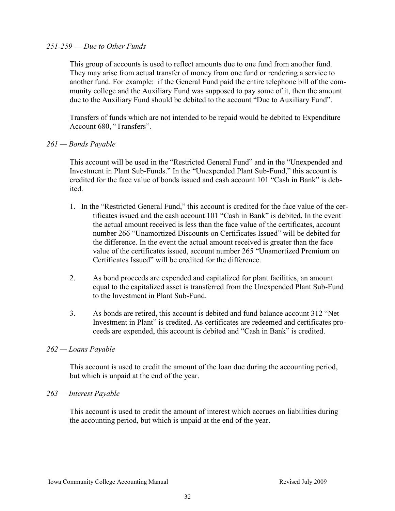#### *251-259 — Due to Other Funds*

This group of accounts is used to reflect amounts due to one fund from another fund. They may arise from actual transfer of money from one fund or rendering a service to another fund. For example: if the General Fund paid the entire telephone bill of the community college and the Auxiliary Fund was supposed to pay some of it, then the amount due to the Auxiliary Fund should be debited to the account "Due to Auxiliary Fund".

Transfers of funds which are not intended to be repaid would be debited to Expenditure Account 680, "Transfers".

# *261 — Bonds Payable*

This account will be used in the "Restricted General Fund" and in the "Unexpended and Investment in Plant Sub-Funds." In the "Unexpended Plant Sub-Fund," this account is credited for the face value of bonds issued and cash account  $101$  "Cash in Bank" is debited.

- 1. In the "Restricted General Fund," this account is credited for the face value of the certificates issued and the cash account  $101$  "Cash in Bank" is debited. In the event the actual amount received is less than the face value of the certificates, account number 266 "Unamortized Discounts on Certificates Issued" will be debited for the difference. In the event the actual amount received is greater than the face value of the certificates issued, account number 265 "Unamortized Premium on Certificates Issued" will be credited for the difference.
- 2. As bond proceeds are expended and capitalized for plant facilities, an amount equal to the capitalized asset is transferred from the Unexpended Plant Sub-Fund to the Investment in Plant Sub-Fund.
- 3. As bonds are retired, this account is debited and fund balance account 312 "Net Investment in Plant" is credited. As certificates are redeemed and certificates proceeds are expended, this account is debited and "Cash in Bank" is credited.

# *262 — Loans Payable*

This account is used to credit the amount of the loan due during the accounting period, but which is unpaid at the end of the year.

#### *263 — Interest Payable*

This account is used to credit the amount of interest which accrues on liabilities during the accounting period, but which is unpaid at the end of the year.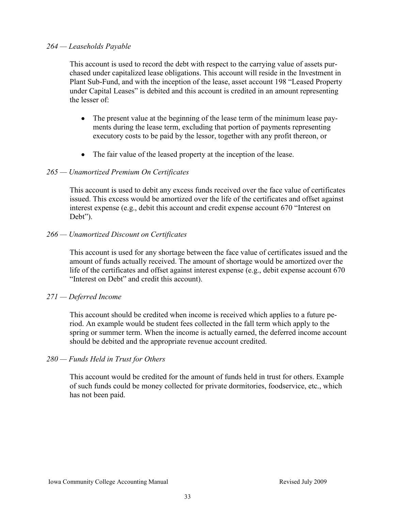#### *264 — Leaseholds Payable*

This account is used to record the debt with respect to the carrying value of assets purchased under capitalized lease obligations. This account will reside in the Investment in Plant Sub-Fund, and with the inception of the lease, asset account 198 "Leased Property under Capital Leases" is debited and this account is credited in an amount representing the lesser of:

- $\bullet$ The present value at the beginning of the lease term of the minimum lease payments during the lease term, excluding that portion of payments representing executory costs to be paid by the lessor, together with any profit thereon, or
- The fair value of the leased property at the inception of the lease.

# *265 — Unamortized Premium On Certificates*

This account is used to debit any excess funds received over the face value of certificates issued. This excess would be amortized over the life of the certificates and offset against interest expense (e.g., debit this account and credit expense account 670 "Interest on Debt").

*266 — Unamortized Discount on Certificates* 

This account is used for any shortage between the face value of certificates issued and the amount of funds actually received. The amount of shortage would be amortized over the life of the certificates and offset against interest expense (e.g., debit expense account 670 "Interest on Debt" and credit this account).

#### *271 — Deferred Income*

This account should be credited when income is received which applies to a future period. An example would be student fees collected in the fall term which apply to the spring or summer term. When the income is actually earned, the deferred income account should be debited and the appropriate revenue account credited.

# *280 — Funds Held in Trust for Others*

This account would be credited for the amount of funds held in trust for others. Example of such funds could be money collected for private dormitories, foodservice, etc., which has not been paid.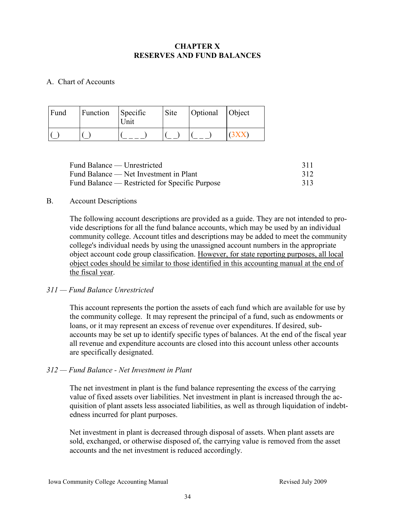# **CHAPTER X RESERVES AND FUND BALANCES**

# A. Chart of Accounts

| Fund | Function | Specific<br><b>Jnit</b> | Site | Optional Object |  |
|------|----------|-------------------------|------|-----------------|--|
|      |          |                         |      |                 |  |

| Fund Balance — Unrestricted                    | 311 |
|------------------------------------------------|-----|
| Fund Balance — Net Investment in Plant         | 312 |
| Fund Balance — Restricted for Specific Purpose | 313 |

# B. Account Descriptions

The following account descriptions are provided as a guide. They are not intended to provide descriptions for all the fund balance accounts, which may be used by an individual community college. Account titles and descriptions may be added to meet the community college's individual needs by using the unassigned account numbers in the appropriate object account code group classification. However, for state reporting purposes, all local object codes should be similar to those identified in this accounting manual at the end of the fiscal year.

# *311 — Fund Balance Unrestricted*

This account represents the portion the assets of each fund which are available for use by the community college. It may represent the principal of a fund, such as endowments or loans, or it may represent an excess of revenue over expenditures. If desired, subaccounts may be set up to identify specific types of balances. At the end of the fiscal year all revenue and expenditure accounts are closed into this account unless other accounts are specifically designated.

# *312 — Fund Balance - Net Investment in Plant*

The net investment in plant is the fund balance representing the excess of the carrying value of fixed assets over liabilities. Net investment in plant is increased through the acquisition of plant assets less associated liabilities, as well as through liquidation of indebtedness incurred for plant purposes.

Net investment in plant is decreased through disposal of assets. When plant assets are sold, exchanged, or otherwise disposed of, the carrying value is removed from the asset accounts and the net investment is reduced accordingly.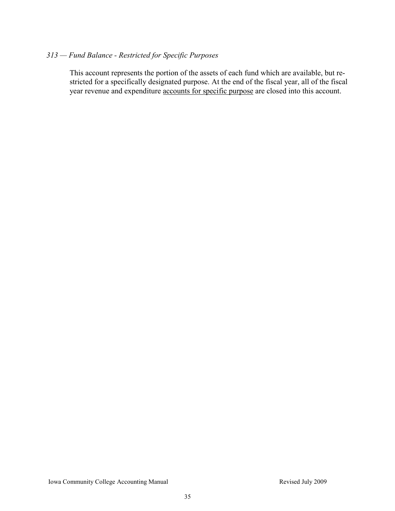# *313 — Fund Balance - Restricted for Specific Purposes*

This account represents the portion of the assets of each fund which are available, but restricted for a specifically designated purpose. At the end of the fiscal year, all of the fiscal year revenue and expenditure accounts for specific purpose are closed into this account.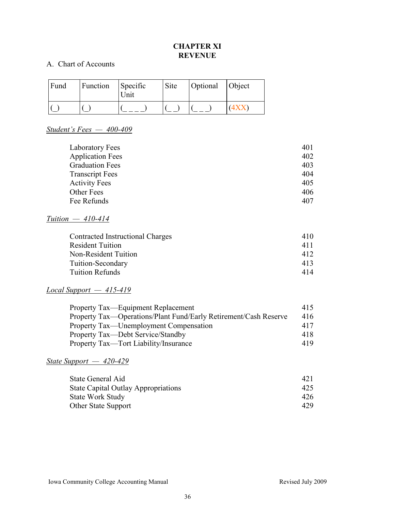# **CHAPTER XI REVENUE**

# A. Chart of Accounts

| Fund | Function | Specific<br>Unit | Site | Optional Object |  |
|------|----------|------------------|------|-----------------|--|
|      |          |                  |      |                 |  |

# *Student's Fees — 400-409*

| Laboratory Fees         | 401 |
|-------------------------|-----|
| <b>Application Fees</b> | 402 |
| <b>Graduation Fees</b>  | 403 |
| <b>Transcript Fees</b>  | 404 |
| <b>Activity Fees</b>    | 405 |
| <b>Other Fees</b>       | 406 |
| Fee Refunds             | 407 |

# *Tuition — 410-414*

| Contracted Instructional Charges | 410 |
|----------------------------------|-----|
| <b>Resident Tuition</b>          | 411 |
| Non-Resident Tuition             | 412 |
| Tuition-Secondary                | 413 |
| <b>Tuition Refunds</b>           | 414 |
|                                  |     |

# *Local Support — 415-419*

| Property Tax—Equipment Replacement                               | 415 |
|------------------------------------------------------------------|-----|
| Property Tax—Operations/Plant Fund/Early Retirement/Cash Reserve | 416 |
| Property Tax—Unemployment Compensation                           | 417 |
| Property Tax—Debt Service/Standby                                | 418 |
| Property Tax—Tort Liability/Insurance                            | 419 |

# *State Support — 420-429*

| State General Aid                          | 421  |
|--------------------------------------------|------|
| <b>State Capital Outlay Appropriations</b> | 425. |
| <b>State Work Study</b>                    | 426. |
| <b>Other State Support</b>                 | 429. |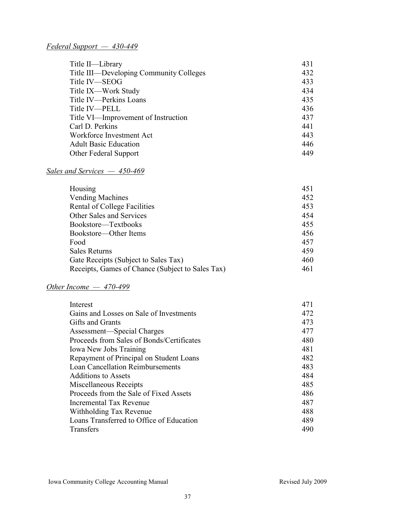# *Federal Support — 430-449*

| Title II—Library                        | 431 |
|-----------------------------------------|-----|
| Title III—Developing Community Colleges | 432 |
| Title IV-SEOG                           | 433 |
| Title IX—Work Study                     | 434 |
| Title IV-Perkins Loans                  | 435 |
| Title IV—PELL                           | 436 |
| Title VI—Improvement of Instruction     | 437 |
| Carl D. Perkins                         | 441 |
| Workforce Investment Act                | 443 |
| <b>Adult Basic Education</b>            | 446 |
| Other Federal Support                   | 449 |

# *Sales and Services — 450-469*

| Housing                                          | 451 |
|--------------------------------------------------|-----|
| <b>Vending Machines</b>                          | 452 |
| Rental of College Facilities                     | 453 |
| Other Sales and Services                         | 454 |
| Bookstore—Textbooks                              | 455 |
| Bookstore—Other Items                            | 456 |
| Food                                             | 457 |
| Sales Returns                                    | 459 |
| Gate Receipts (Subject to Sales Tax)             | 460 |
| Receipts, Games of Chance (Subject to Sales Tax) | 461 |

# *Other Income — 470-499*

| 471 |
|-----|
| 472 |
| 473 |
| 477 |
| 480 |
| 481 |
| 482 |
| 483 |
| 484 |
| 485 |
| 486 |
| 487 |
| 488 |
| 489 |
| 490 |
|     |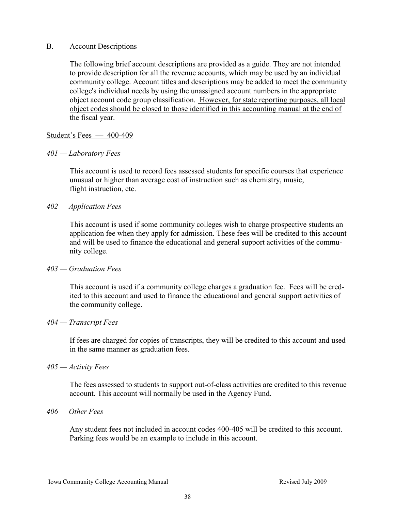#### B. Account Descriptions

The following brief account descriptions are provided as a guide. They are not intended to provide description for all the revenue accounts, which may be used by an individual community college. Account titles and descriptions may be added to meet the community college's individual needs by using the unassigned account numbers in the appropriate object account code group classification. However, for state reporting purposes, all local object codes should be closed to those identified in this accounting manual at the end of the fiscal year.

# Student's Fees — 400-409

# *401 — Laboratory Fees*

This account is used to record fees assessed students for specific courses that experience unusual or higher than average cost of instruction such as chemistry, music, flight instruction, etc.

# *402 — Application Fees*

This account is used if some community colleges wish to charge prospective students an application fee when they apply for admission. These fees will be credited to this account and will be used to finance the educational and general support activities of the community college.

#### *403 — Graduation Fees*

This account is used if a community college charges a graduation fee. Fees will be credited to this account and used to finance the educational and general support activities of the community college.

#### *404 — Transcript Fees*

If fees are charged for copies of transcripts, they will be credited to this account and used in the same manner as graduation fees.

#### *405 — Activity Fees*

The fees assessed to students to support out-of-class activities are credited to this revenue account. This account will normally be used in the Agency Fund.

#### *406 — Other Fees*

Any student fees not included in account codes 400-405 will be credited to this account. Parking fees would be an example to include in this account.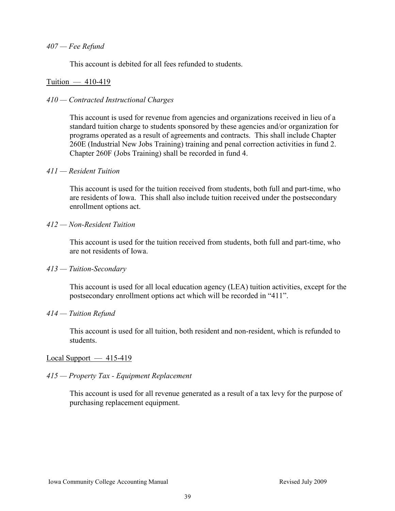#### *407 — Fee Refund*

This account is debited for all fees refunded to students.

#### Tuition — 410-419

### *410 — Contracted Instructional Charges*

This account is used for revenue from agencies and organizations received in lieu of a standard tuition charge to students sponsored by these agencies and/or organization for programs operated as a result of agreements and contracts. This shall include Chapter 260E (Industrial New Jobs Training) training and penal correction activities in fund 2. Chapter 260F (Jobs Training) shall be recorded in fund 4.

#### *411 — Resident Tuition*

This account is used for the tuition received from students, both full and part-time, who are residents of Iowa. This shall also include tuition received under the postsecondary enrollment options act.

#### *412 — Non-Resident Tuition*

This account is used for the tuition received from students, both full and part-time, who are not residents of Iowa.

#### *413 — Tuition-Secondary*

This account is used for all local education agency (LEA) tuition activities, except for the postsecondary enrollment options act which will be recorded in "411".

#### *414 — Tuition Refund*

This account is used for all tuition, both resident and non-resident, which is refunded to students.

#### $Local Support - 415-419$

#### *415 — Property Tax - Equipment Replacement*

This account is used for all revenue generated as a result of a tax levy for the purpose of purchasing replacement equipment.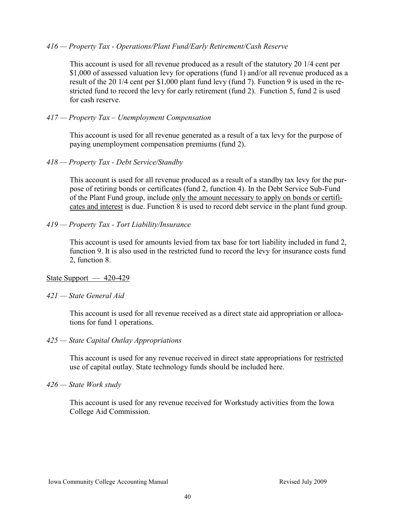#### *416 — Property Tax - Operations/Plant Fund/Early Retirement/Cash Reserve*

This account is used for all revenue produced as a result of the statutory 20 1/4 cent per \$1,000 of assessed valuation levy for operations (fund 1) and/or all revenue produced as a result of the 20 1/4 cent per \$1,000 plant fund levy (fund 7). Function 9 is used in the restricted fund to record the levy for early retirement (fund 2). Function 5, fund 2 is used for cash reserve.

# *417 — Property Tax – Unemployment Compensation*

This account is used for all revenue generated as a result of a tax levy for the purpose of paying unemployment compensation premiums (fund 2).

# *418 — Property Tax - Debt Service/Standby*

This account is used for all revenue produced as a result of a standby tax levy for the purpose of retiring bonds or certificates (fund 2, function 4). In the Debt Service Sub-Fund of the Plant Fund group, include only the amount necessary to apply on bonds or certificates and interest is due. Function 8 is used to record debt service in the plant fund group.

# *419 — Property Tax - Tort Liability/Insurance*

This account is used for amounts levied from tax base for tort liability included in fund 2, function 9. It is also used in the restricted fund to record the levy for insurance costs fund 2, function 8.

# State Support — 420-429

#### *421 — State General Aid*

This account is used for all revenue received as a direct state aid appropriation or allocations for fund 1 operations.

#### *425 — State Capital Outlay Appropriations*

This account is used for any revenue received in direct state appropriations for restricted use of capital outlay. State technology funds should be included here.

#### *426 — State Work study*

This account is used for any revenue received for Workstudy activities from the Iowa College Aid Commission.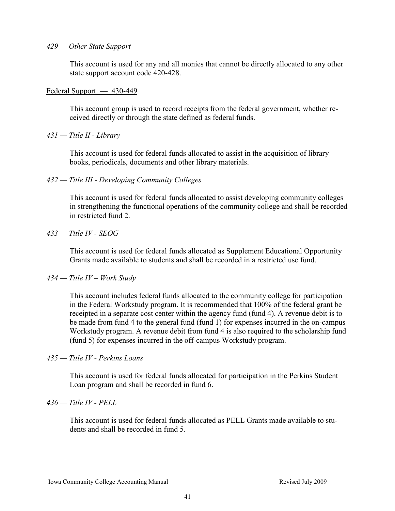#### *429 — Other State Support*

This account is used for any and all monies that cannot be directly allocated to any other state support account code 420-428.

#### Federal Support — 430-449

This account group is used to record receipts from the federal government, whether received directly or through the state defined as federal funds.

#### *431 — Title II - Library*

This account is used for federal funds allocated to assist in the acquisition of library books, periodicals, documents and other library materials.

*432 — Title III - Developing Community Colleges* 

This account is used for federal funds allocated to assist developing community colleges in strengthening the functional operations of the community college and shall be recorded in restricted fund 2.

#### *433 — Title IV - SEOG*

This account is used for federal funds allocated as Supplement Educational Opportunity Grants made available to students and shall be recorded in a restricted use fund.

#### *434 — Title IV – Work Study*

This account includes federal funds allocated to the community college for participation in the Federal Workstudy program. It is recommended that 100% of the federal grant be receipted in a separate cost center within the agency fund (fund 4). A revenue debit is to be made from fund 4 to the general fund (fund 1) for expenses incurred in the on-campus Workstudy program. A revenue debit from fund 4 is also required to the scholarship fund (fund 5) for expenses incurred in the off-campus Workstudy program.

#### *435 — Title IV - Perkins Loans*

This account is used for federal funds allocated for participation in the Perkins Student Loan program and shall be recorded in fund 6.

#### *436 — Title IV - PELL*

This account is used for federal funds allocated as PELL Grants made available to students and shall be recorded in fund 5.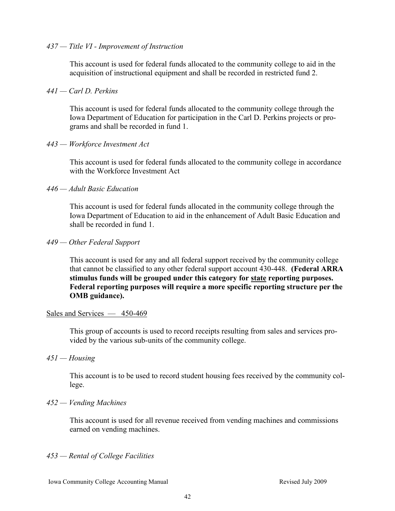# *437 — Title VI - Improvement of Instruction*

This account is used for federal funds allocated to the community college to aid in the acquisition of instructional equipment and shall be recorded in restricted fund 2.

### *441 — Carl D. Perkins*

This account is used for federal funds allocated to the community college through the Iowa Department of Education for participation in the Carl D. Perkins projects or programs and shall be recorded in fund 1.

# *443 — Workforce Investment Act*

This account is used for federal funds allocated to the community college in accordance with the Workforce Investment Act

# *446 — Adult Basic Education*

This account is used for federal funds allocated in the community college through the Iowa Department of Education to aid in the enhancement of Adult Basic Education and shall be recorded in fund 1.

#### *449 — Other Federal Support*

This account is used for any and all federal support received by the community college that cannot be classified to any other federal support account 430-448. **(Federal ARRA stimulus funds will be grouped under this category for state reporting purposes. Federal reporting purposes will require a more specific reporting structure per the OMB guidance).**

# Sales and Services — 450-469

This group of accounts is used to record receipts resulting from sales and services provided by the various sub-units of the community college.

*451 — Housing* 

This account is to be used to record student housing fees received by the community college.

#### *452 — Vending Machines*

This account is used for all revenue received from vending machines and commissions earned on vending machines.

# *453 — Rental of College Facilities*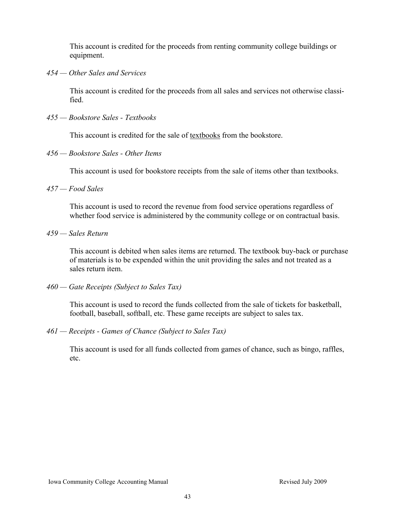This account is credited for the proceeds from renting community college buildings or equipment.

*454 — Other Sales and Services* 

This account is credited for the proceeds from all sales and services not otherwise classified.

*455 — Bookstore Sales - Textbooks* 

This account is credited for the sale of textbooks from the bookstore.

*456 — Bookstore Sales - Other Items* 

This account is used for bookstore receipts from the sale of items other than textbooks.

*457 — Food Sales* 

This account is used to record the revenue from food service operations regardless of whether food service is administered by the community college or on contractual basis.

*459 — Sales Return* 

This account is debited when sales items are returned. The textbook buy-back or purchase of materials is to be expended within the unit providing the sales and not treated as a sales return item.

*460 — Gate Receipts (Subject to Sales Tax)* 

This account is used to record the funds collected from the sale of tickets for basketball, football, baseball, softball, etc. These game receipts are subject to sales tax.

*461 — Receipts - Games of Chance (Subject to Sales Tax)* 

This account is used for all funds collected from games of chance, such as bingo, raffles, etc.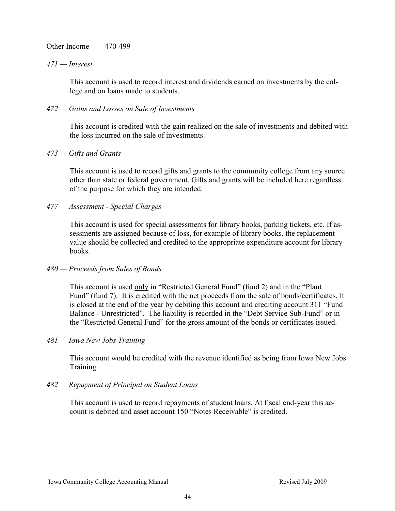#### Other Income — 470-499

#### *471 — Interest*

This account is used to record interest and dividends earned on investments by the college and on loans made to students.

#### *472 — Gains and Losses on Sale of Investments*

This account is credited with the gain realized on the sale of investments and debited with the loss incurred on the sale of investments.

#### *473 — Gifts and Grants*

This account is used to record gifts and grants to the community college from any source other than state or federal government. Gifts and grants will be included here regardless of the purpose for which they are intended.

#### *477 — Assessment - Special Charges*

This account is used for special assessments for library books, parking tickets, etc. If assessments are assigned because of loss, for example of library books, the replacement value should be collected and credited to the appropriate expenditure account for library books.

#### *480 — Proceeds from Sales of Bonds*

This account is used only in "Restricted General Fund" (fund 2) and in the "Plant Fund" (fund 7). It is credited with the net proceeds from the sale of bonds/certificates. It is closed at the end of the year by debiting this account and crediting account 311 "Fund Balance - Unrestricted". The liability is recorded in the "Debt Service Sub-Fund" or in the "Restricted General Fund" for the gross amount of the bonds or certificates issued.

#### *481 — Iowa New Jobs Training*

This account would be credited with the revenue identified as being from Iowa New Jobs Training.

#### *482 — Repayment of Principal on Student Loans*

This account is used to record repayments of student loans. At fiscal end-year this account is debited and asset account 150 "Notes Receivable" is credited.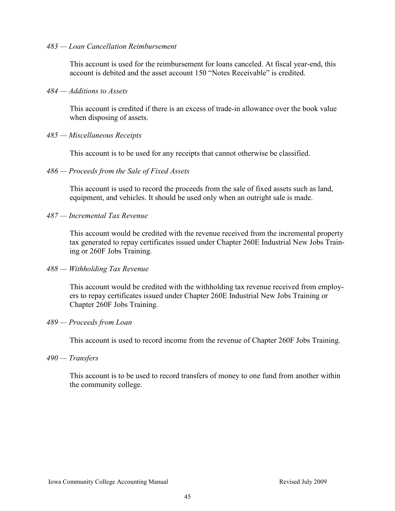#### *483 — Loan Cancellation Reimbursement*

This account is used for the reimbursement for loans canceled. At fiscal year-end, this account is debited and the asset account 150 "Notes Receivable" is credited.

#### *484 — Additions to Assets*

This account is credited if there is an excess of trade-in allowance over the book value when disposing of assets.

#### *485 — Miscellaneous Receipts*

This account is to be used for any receipts that cannot otherwise be classified.

#### *486 — Proceeds from the Sale of Fixed Assets*

This account is used to record the proceeds from the sale of fixed assets such as land, equipment, and vehicles. It should be used only when an outright sale is made.

*487 — Incremental Tax Revenue* 

This account would be credited with the revenue received from the incremental property tax generated to repay certificates issued under Chapter 260E Industrial New Jobs Training or 260F Jobs Training.

#### *488 — Withholding Tax Revenue*

This account would be credited with the withholding tax revenue received from employers to repay certificates issued under Chapter 260E Industrial New Jobs Training or Chapter 260F Jobs Training.

#### *489 — Proceeds from Loan*

This account is used to record income from the revenue of Chapter 260F Jobs Training.

#### *490 — Transfers*

This account is to be used to record transfers of money to one fund from another within the community college.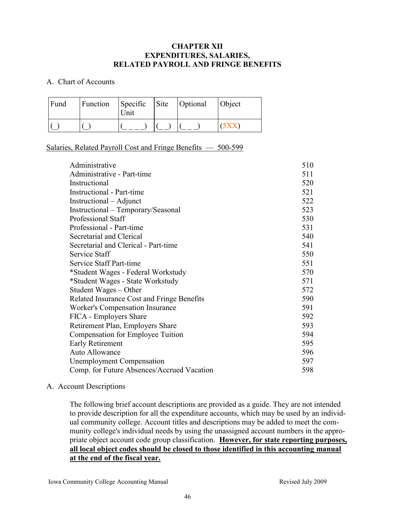### **CHAPTER XII EXPENDITURES, SALARIES, RELATED PAYROLL AND FRINGE BENEFITS**

#### A. Chart of Accounts

| Fund | Function | Specific Site Optional<br>Unit |  | <b>Object</b> |
|------|----------|--------------------------------|--|---------------|
|      |          |                                |  |               |

# Salaries, Related Payroll Cost and Fringe Benefits — 500-599

| Administrative                             | 510 |
|--------------------------------------------|-----|
| Administrative - Part-time                 | 511 |
| Instructional                              | 520 |
| <b>Instructional - Part-time</b>           | 521 |
| Instructional – Adjunct                    | 522 |
| Instructional - Temporary/Seasonal         | 523 |
| Professional Staff                         | 530 |
| Professional - Part-time                   | 531 |
| Secretarial and Clerical                   | 540 |
| Secretarial and Clerical - Part-time       | 541 |
| Service Staff                              | 550 |
| <b>Service Staff Part-time</b>             | 551 |
| *Student Wages - Federal Workstudy         | 570 |
| *Student Wages - State Workstudy           | 571 |
| Student Wages – Other                      | 572 |
| Related Insurance Cost and Fringe Benefits | 590 |
| Worker's Compensation Insurance            | 591 |
| FICA - Employers Share                     | 592 |
| Retirement Plan, Employers Share           | 593 |
| Compensation for Employee Tuition          | 594 |
| Early Retirement                           | 595 |
| <b>Auto Allowance</b>                      | 596 |
| <b>Unemployment Compensation</b>           | 597 |
| Comp. for Future Absences/Accrued Vacation | 598 |

# A. Account Descriptions

The following brief account descriptions are provided as a guide. They are not intended to provide description for all the expenditure accounts, which may be used by an individual community college. Account titles and descriptions may be added to meet the community college's individual needs by using the unassigned account numbers in the appropriate object account code group classification. **However, for state reporting purposes, all local object codes should be closed to those identified in this accounting manual at the end of the fiscal year.**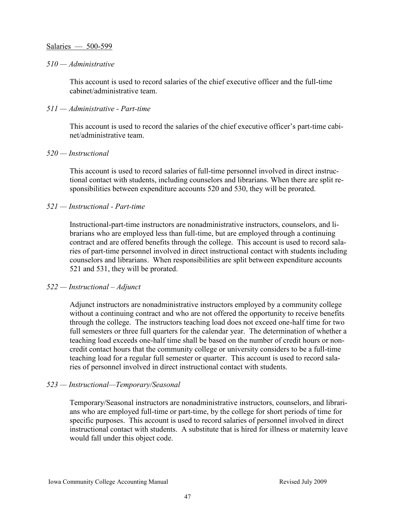#### Salaries — 500-599

#### *510 — Administrative*

This account is used to record salaries of the chief executive officer and the full-time cabinet/administrative team.

#### *511 — Administrative - Part-time*

This account is used to record the salaries of the chief executive officer's part-time cabinet/administrative team.

#### *520 — Instructional*

This account is used to record salaries of full-time personnel involved in direct instructional contact with students, including counselors and librarians. When there are split responsibilities between expenditure accounts 520 and 530, they will be prorated.

#### *521 — Instructional - Part-time*

Instructional-part-time instructors are nonadministrative instructors, counselors, and librarians who are employed less than full-time, but are employed through a continuing contract and are offered benefits through the college. This account is used to record salaries of part-time personnel involved in direct instructional contact with students including counselors and librarians. When responsibilities are split between expenditure accounts 521 and 531, they will be prorated.

#### *522 — Instructional – Adjunct*

Adjunct instructors are nonadministrative instructors employed by a community college without a continuing contract and who are not offered the opportunity to receive benefits through the college. The instructors teaching load does not exceed one-half time for two full semesters or three full quarters for the calendar year. The determination of whether a teaching load exceeds one-half time shall be based on the number of credit hours or noncredit contact hours that the community college or university considers to be a full-time teaching load for a regular full semester or quarter. This account is used to record salaries of personnel involved in direct instructional contact with students.

#### *523 — Instructional—Temporary/Seasonal*

Temporary/Seasonal instructors are nonadministrative instructors, counselors, and librarians who are employed full-time or part-time, by the college for short periods of time for specific purposes. This account is used to record salaries of personnel involved in direct instructional contact with students. A substitute that is hired for illness or maternity leave would fall under this object code.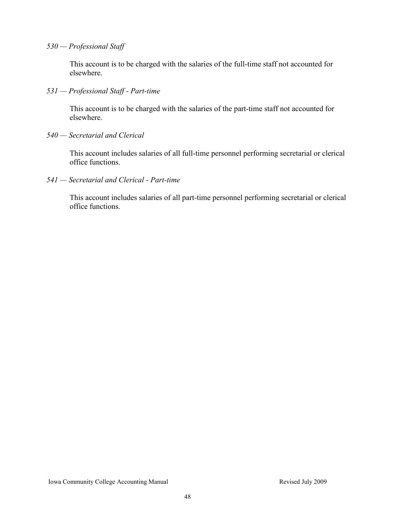*530 — Professional Staff* 

This account is to be charged with the salaries of the full-time staff not accounted for elsewhere.

*531 — Professional Staff - Part-time* 

This account is to be charged with the salaries of the part-time staff not accounted for elsewhere.

*540 — Secretarial and Clerical* 

This account includes salaries of all full-time personnel performing secretarial or clerical office functions.

*541 — Secretarial and Clerical - Part-time* 

This account includes salaries of all part-time personnel performing secretarial or clerical office functions.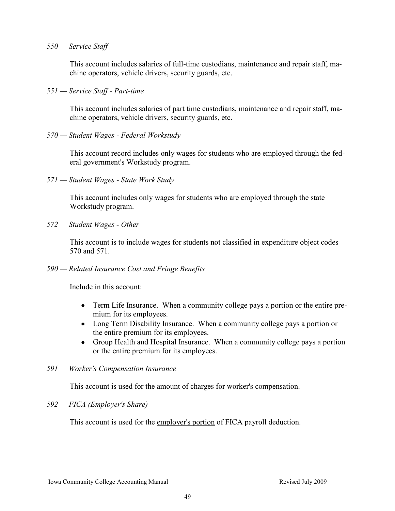#### *550 — Service Staff*

This account includes salaries of full-time custodians, maintenance and repair staff, machine operators, vehicle drivers, security guards, etc.

*551 — Service Staff - Part-time* 

This account includes salaries of part time custodians, maintenance and repair staff, machine operators, vehicle drivers, security guards, etc.

*570 — Student Wages - Federal Workstudy* 

This account record includes only wages for students who are employed through the federal government's Workstudy program.

*571 — Student Wages - State Work Study* 

This account includes only wages for students who are employed through the state Workstudy program.

*572 — Student Wages - Other* 

This account is to include wages for students not classified in expenditure object codes 570 and 571.

*590 — Related Insurance Cost and Fringe Benefits* 

Include in this account:

- $\bullet$ Term Life Insurance. When a community college pays a portion or the entire premium for its employees.
- Long Term Disability Insurance. When a community college pays a portion or the entire premium for its employees.
- $\bullet$ Group Health and Hospital Insurance. When a community college pays a portion or the entire premium for its employees.

#### *591 — Worker's Compensation Insurance*

This account is used for the amount of charges for worker's compensation.

#### *592 — FICA (Employer's Share)*

This account is used for the employer's portion of FICA payroll deduction.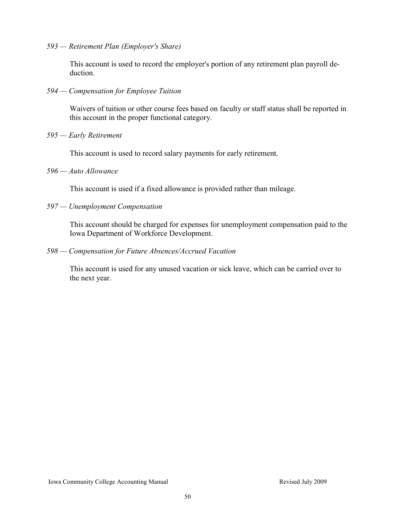*593 — Retirement Plan (Employer's Share)* 

This account is used to record the employer's portion of any retirement plan payroll deduction.

*594 — Compensation for Employee Tuition* 

Waivers of tuition or other course fees based on faculty or staff status shall be reported in this account in the proper functional category.

*595 — Early Retirement* 

This account is used to record salary payments for early retirement.

*596 — Auto Allowance* 

This account is used if a fixed allowance is provided rather than mileage.

*597 — Unemployment Compensation* 

This account should be charged for expenses for unemployment compensation paid to the Iowa Department of Workforce Development.

*598 — Compensation for Future Absences/Accrued Vacation* 

This account is used for any unused vacation or sick leave, which can be carried over to the next year.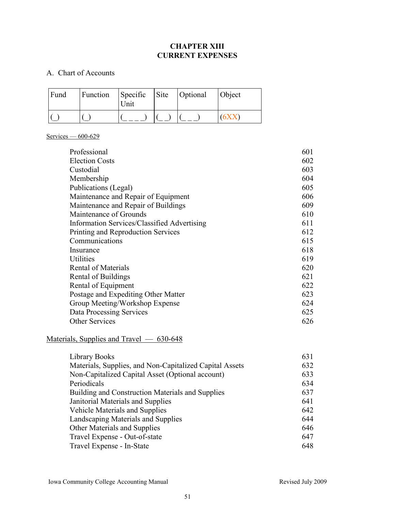# **CHAPTER XIII CURRENT EXPENSES**

# A. Chart of Accounts

| Fund | Function | Specific Site Optional<br>Unit |  | <b>Object</b> |
|------|----------|--------------------------------|--|---------------|
|      |          |                                |  | 6XX           |

# Services — 600-629

| Professional                                | 601 |
|---------------------------------------------|-----|
| <b>Election Costs</b>                       | 602 |
| Custodial                                   | 603 |
| Membership                                  | 604 |
| Publications (Legal)                        | 605 |
| Maintenance and Repair of Equipment         | 606 |
| Maintenance and Repair of Buildings         | 609 |
| Maintenance of Grounds                      | 610 |
| Information Services/Classified Advertising | 611 |
| Printing and Reproduction Services          | 612 |
| Communications                              | 615 |
| Insurance                                   | 618 |
| Utilities                                   | 619 |
| <b>Rental of Materials</b>                  | 620 |
| Rental of Buildings                         | 621 |
| Rental of Equipment                         | 622 |
| Postage and Expediting Other Matter         | 623 |
| Group Meeting/Workshop Expense              | 624 |
| Data Processing Services                    | 625 |
| <b>Other Services</b>                       | 626 |

# Materials, Supplies and Travel — 630-648

| Library Books                                           | 631 |
|---------------------------------------------------------|-----|
| Materials, Supplies, and Non-Capitalized Capital Assets | 632 |
| Non-Capitalized Capital Asset (Optional account)        | 633 |
| Periodicals                                             | 634 |
| Building and Construction Materials and Supplies        | 637 |
| Janitorial Materials and Supplies                       | 641 |
| Vehicle Materials and Supplies                          | 642 |
| Landscaping Materials and Supplies                      | 644 |
| Other Materials and Supplies                            | 646 |
| Travel Expense - Out-of-state                           | 647 |
| Travel Expense - In-State                               | 648 |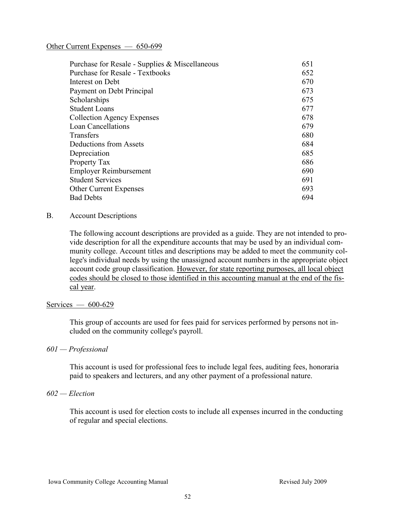### Other Current Expenses — 650-699

| Purchase for Resale - Supplies & Miscellaneous | 651 |
|------------------------------------------------|-----|
| <b>Purchase for Resale - Textbooks</b>         | 652 |
| Interest on Debt                               | 670 |
| Payment on Debt Principal                      | 673 |
| Scholarships                                   | 675 |
| <b>Student Loans</b>                           | 677 |
| <b>Collection Agency Expenses</b>              | 678 |
| <b>Loan Cancellations</b>                      | 679 |
| Transfers                                      | 680 |
| Deductions from Assets                         | 684 |
| Depreciation                                   | 685 |
| Property Tax                                   | 686 |
| <b>Employer Reimbursement</b>                  | 690 |
| <b>Student Services</b>                        | 691 |
| <b>Other Current Expenses</b>                  | 693 |
| <b>Bad Debts</b>                               | 694 |

#### B. Account Descriptions

The following account descriptions are provided as a guide. They are not intended to provide description for all the expenditure accounts that may be used by an individual community college. Account titles and descriptions may be added to meet the community college's individual needs by using the unassigned account numbers in the appropriate object account code group classification. However, for state reporting purposes, all local object codes should be closed to those identified in this accounting manual at the end of the fiscal year.

#### Services — 600-629

This group of accounts are used for fees paid for services performed by persons not included on the community college's payroll.

#### *601 — Professional*

This account is used for professional fees to include legal fees, auditing fees, honoraria paid to speakers and lecturers, and any other payment of a professional nature.

# *602 — Election*

This account is used for election costs to include all expenses incurred in the conducting of regular and special elections.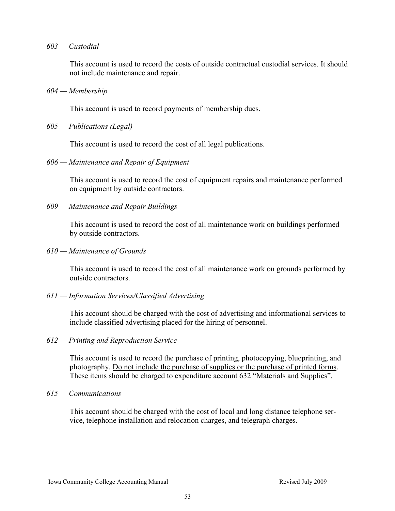#### *603 — Custodial*

This account is used to record the costs of outside contractual custodial services. It should not include maintenance and repair.

#### *604 — Membership*

This account is used to record payments of membership dues.

#### *605 — Publications (Legal)*

This account is used to record the cost of all legal publications.

#### *606 — Maintenance and Repair of Equipment*

This account is used to record the cost of equipment repairs and maintenance performed on equipment by outside contractors.

#### *609 — Maintenance and Repair Buildings*

This account is used to record the cost of all maintenance work on buildings performed by outside contractors.

*610 — Maintenance of Grounds* 

This account is used to record the cost of all maintenance work on grounds performed by outside contractors.

# *611 — Information Services/Classified Advertising*

This account should be charged with the cost of advertising and informational services to include classified advertising placed for the hiring of personnel.

#### *612 — Printing and Reproduction Service*

This account is used to record the purchase of printing, photocopying, blueprinting, and photography. Do not include the purchase of supplies or the purchase of printed forms. These items should be charged to expenditure account 632 "Materials and Supplies".

#### *615 — Communications*

This account should be charged with the cost of local and long distance telephone service, telephone installation and relocation charges, and telegraph charges.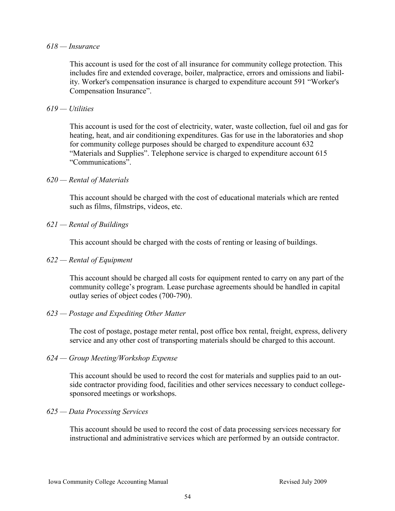#### *618 — Insurance*

This account is used for the cost of all insurance for community college protection. This includes fire and extended coverage, boiler, malpractice, errors and omissions and liability. Worker's compensation insurance is charged to expenditure account 591 "Worker's Compensation Insurance".

#### *619 — Utilities*

This account is used for the cost of electricity, water, waste collection, fuel oil and gas for heating, heat, and air conditioning expenditures. Gas for use in the laboratories and shop for community college purposes should be charged to expenditure account 632 "Materials and Supplies". Telephone service is charged to expenditure account 615 ―Communications‖.

#### *620 — Rental of Materials*

This account should be charged with the cost of educational materials which are rented such as films, filmstrips, videos, etc.

#### *621 — Rental of Buildings*

This account should be charged with the costs of renting or leasing of buildings.

#### *622 — Rental of Equipment*

This account should be charged all costs for equipment rented to carry on any part of the community college's program. Lease purchase agreements should be handled in capital outlay series of object codes (700-790).

#### *623 — Postage and Expediting Other Matter*

The cost of postage, postage meter rental, post office box rental, freight, express, delivery service and any other cost of transporting materials should be charged to this account.

#### *624 — Group Meeting/Workshop Expense*

This account should be used to record the cost for materials and supplies paid to an outside contractor providing food, facilities and other services necessary to conduct collegesponsored meetings or workshops.

#### *625 — Data Processing Services*

This account should be used to record the cost of data processing services necessary for instructional and administrative services which are performed by an outside contractor.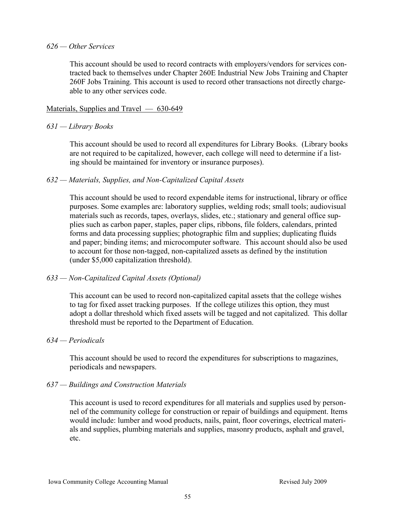#### *626 — Other Services*

This account should be used to record contracts with employers/vendors for services contracted back to themselves under Chapter 260E Industrial New Jobs Training and Chapter 260F Jobs Training. This account is used to record other transactions not directly chargeable to any other services code.

#### Materials, Supplies and Travel — 630-649

# *631 — Library Books*

This account should be used to record all expenditures for Library Books. (Library books are not required to be capitalized, however, each college will need to determine if a listing should be maintained for inventory or insurance purposes).

# *632 — Materials, Supplies, and Non-Capitalized Capital Assets*

This account should be used to record expendable items for instructional, library or office purposes. Some examples are: laboratory supplies, welding rods; small tools; audiovisual materials such as records, tapes, overlays, slides, etc.; stationary and general office supplies such as carbon paper, staples, paper clips, ribbons, file folders, calendars, printed forms and data processing supplies; photographic film and supplies; duplicating fluids and paper; binding items; and microcomputer software. This account should also be used to account for those non-tagged, non-capitalized assets as defined by the institution (under \$5,000 capitalization threshold).

#### *633 — Non-Capitalized Capital Assets (Optional)*

This account can be used to record non-capitalized capital assets that the college wishes to tag for fixed asset tracking purposes. If the college utilizes this option, they must adopt a dollar threshold which fixed assets will be tagged and not capitalized. This dollar threshold must be reported to the Department of Education.

#### *634 — Periodicals*

This account should be used to record the expenditures for subscriptions to magazines, periodicals and newspapers.

#### *637 — Buildings and Construction Materials*

This account is used to record expenditures for all materials and supplies used by personnel of the community college for construction or repair of buildings and equipment. Items would include: lumber and wood products, nails, paint, floor coverings, electrical materials and supplies, plumbing materials and supplies, masonry products, asphalt and gravel, etc.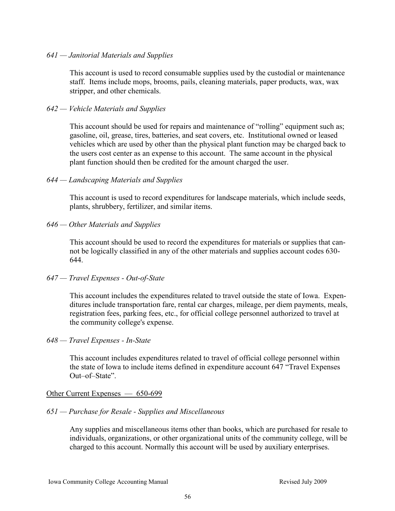#### *641 — Janitorial Materials and Supplies*

This account is used to record consumable supplies used by the custodial or maintenance staff. Items include mops, brooms, pails, cleaning materials, paper products, wax, wax stripper, and other chemicals.

### *642 — Vehicle Materials and Supplies*

This account should be used for repairs and maintenance of "rolling" equipment such as; gasoline, oil, grease, tires, batteries, and seat covers, etc. Institutional owned or leased vehicles which are used by other than the physical plant function may be charged back to the users cost center as an expense to this account. The same account in the physical plant function should then be credited for the amount charged the user.

#### *644 — Landscaping Materials and Supplies*

This account is used to record expenditures for landscape materials, which include seeds, plants, shrubbery, fertilizer, and similar items.

#### *646 — Other Materials and Supplies*

This account should be used to record the expenditures for materials or supplies that cannot be logically classified in any of the other materials and supplies account codes 630- 644.

#### *647 — Travel Expenses - Out-of-State*

This account includes the expenditures related to travel outside the state of Iowa. Expenditures include transportation fare, rental car charges, mileage, per diem payments, meals, registration fees, parking fees, etc., for official college personnel authorized to travel at the community college's expense.

#### *648 — Travel Expenses - In-State*

This account includes expenditures related to travel of official college personnel within the state of Iowa to include items defined in expenditure account  $647$  "Travel Expenses" Out–of–State".

#### Other Current Expenses — 650-699

#### *651 — Purchase for Resale - Supplies and Miscellaneous*

Any supplies and miscellaneous items other than books, which are purchased for resale to individuals, organizations, or other organizational units of the community college, will be charged to this account. Normally this account will be used by auxiliary enterprises.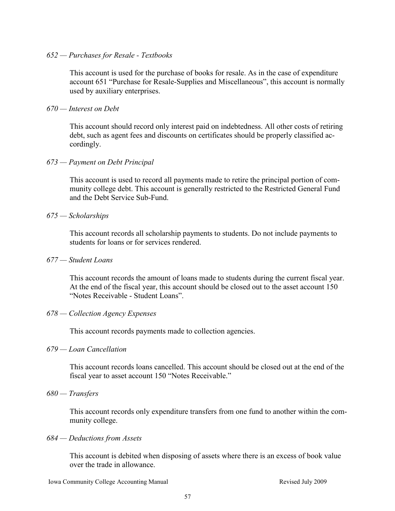#### *652 — Purchases for Resale - Textbooks*

This account is used for the purchase of books for resale. As in the case of expenditure account 651 "Purchase for Resale-Supplies and Miscellaneous", this account is normally used by auxiliary enterprises.

#### *670 — Interest on Debt*

This account should record only interest paid on indebtedness. All other costs of retiring debt, such as agent fees and discounts on certificates should be properly classified accordingly.

#### *673 — Payment on Debt Principal*

This account is used to record all payments made to retire the principal portion of community college debt. This account is generally restricted to the Restricted General Fund and the Debt Service Sub-Fund.

#### *675 — Scholarships*

This account records all scholarship payments to students. Do not include payments to students for loans or for services rendered.

#### *677 — Student Loans*

This account records the amount of loans made to students during the current fiscal year. At the end of the fiscal year, this account should be closed out to the asset account 150 "Notes Receivable - Student Loans".

#### *678 — Collection Agency Expenses*

This account records payments made to collection agencies.

#### *679 — Loan Cancellation*

This account records loans cancelled. This account should be closed out at the end of the fiscal year to asset account 150 "Notes Receivable."

#### *680 — Transfers*

This account records only expenditure transfers from one fund to another within the community college.

#### *684 — Deductions from Assets*

This account is debited when disposing of assets where there is an excess of book value over the trade in allowance.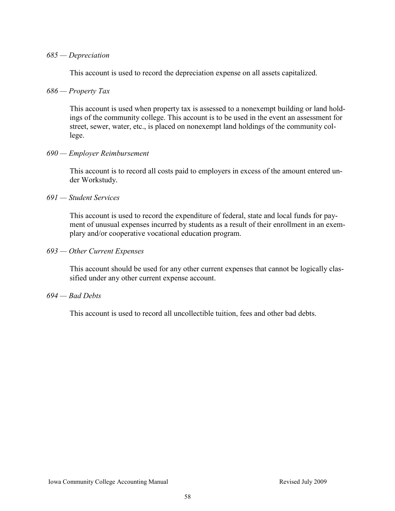#### *685 — Depreciation*

This account is used to record the depreciation expense on all assets capitalized.

# *686 — Property Tax*

This account is used when property tax is assessed to a nonexempt building or land holdings of the community college. This account is to be used in the event an assessment for street, sewer, water, etc., is placed on nonexempt land holdings of the community college.

#### *690 — Employer Reimbursement*

This account is to record all costs paid to employers in excess of the amount entered under Workstudy.

#### *691 — Student Services*

This account is used to record the expenditure of federal, state and local funds for payment of unusual expenses incurred by students as a result of their enrollment in an exemplary and/or cooperative vocational education program.

#### *693 — Other Current Expenses*

This account should be used for any other current expenses that cannot be logically classified under any other current expense account.

#### *694 — Bad Debts*

This account is used to record all uncollectible tuition, fees and other bad debts.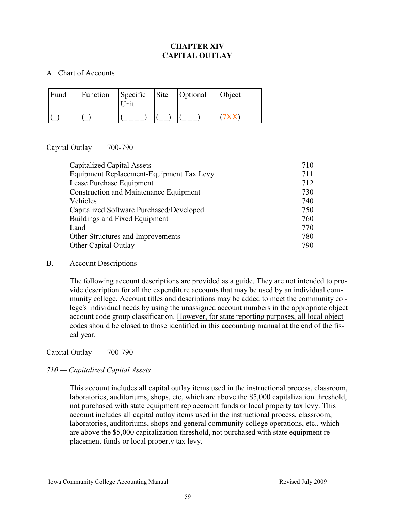# **CHAPTER XIV CAPITAL OUTLAY**

# A. Chart of Accounts

| Fund | Function | Specific Site Optional<br><b>Jnit</b> |  | <b>Object</b> |
|------|----------|---------------------------------------|--|---------------|
|      |          |                                       |  |               |

# Capital Outlay  $-700-790$

| <b>Capitalized Capital Assets</b>             | 710 |
|-----------------------------------------------|-----|
| Equipment Replacement-Equipment Tax Levy      | 711 |
| Lease Purchase Equipment                      | 712 |
| <b>Construction and Maintenance Equipment</b> | 730 |
| Vehicles                                      | 740 |
| Capitalized Software Purchased/Developed      | 750 |
| Buildings and Fixed Equipment                 | 760 |
| Land                                          | 770 |
| Other Structures and Improvements             | 780 |
| Other Capital Outlay                          | 790 |

#### B. Account Descriptions

The following account descriptions are provided as a guide. They are not intended to provide description for all the expenditure accounts that may be used by an individual community college. Account titles and descriptions may be added to meet the community college's individual needs by using the unassigned account numbers in the appropriate object account code group classification. However, for state reporting purposes, all local object codes should be closed to those identified in this accounting manual at the end of the fiscal year.

# Capital Outlay — 700-790

# *710 — Capitalized Capital Assets*

This account includes all capital outlay items used in the instructional process, classroom, laboratories, auditoriums, shops, etc, which are above the \$5,000 capitalization threshold, not purchased with state equipment replacement funds or local property tax levy. This account includes all capital outlay items used in the instructional process, classroom, laboratories, auditoriums, shops and general community college operations, etc., which are above the \$5,000 capitalization threshold, not purchased with state equipment replacement funds or local property tax levy.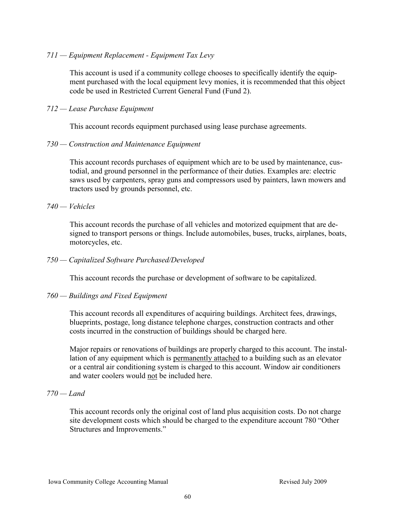# *711 — Equipment Replacement - Equipment Tax Levy*

This account is used if a community college chooses to specifically identify the equipment purchased with the local equipment levy monies, it is recommended that this object code be used in Restricted Current General Fund (Fund 2).

# *712 — Lease Purchase Equipment*

This account records equipment purchased using lease purchase agreements.

#### *730 — Construction and Maintenance Equipment*

This account records purchases of equipment which are to be used by maintenance, custodial, and ground personnel in the performance of their duties. Examples are: electric saws used by carpenters, spray guns and compressors used by painters, lawn mowers and tractors used by grounds personnel, etc.

# *740 — Vehicles*

This account records the purchase of all vehicles and motorized equipment that are designed to transport persons or things. Include automobiles, buses, trucks, airplanes, boats, motorcycles, etc.

#### *750 — Capitalized Software Purchased/Developed*

This account records the purchase or development of software to be capitalized.

#### *760 — Buildings and Fixed Equipment*

This account records all expenditures of acquiring buildings. Architect fees, drawings, blueprints, postage, long distance telephone charges, construction contracts and other costs incurred in the construction of buildings should be charged here.

Major repairs or renovations of buildings are properly charged to this account. The installation of any equipment which is permanently attached to a building such as an elevator or a central air conditioning system is charged to this account. Window air conditioners and water coolers would not be included here.

#### *770 — Land*

This account records only the original cost of land plus acquisition costs. Do not charge site development costs which should be charged to the expenditure account 780 "Other Structures and Improvements."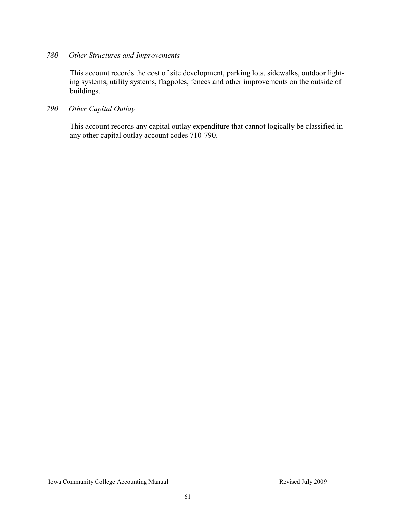# *780 — Other Structures and Improvements*

This account records the cost of site development, parking lots, sidewalks, outdoor lighting systems, utility systems, flagpoles, fences and other improvements on the outside of buildings.

# *790 — Other Capital Outlay*

This account records any capital outlay expenditure that cannot logically be classified in any other capital outlay account codes 710-790.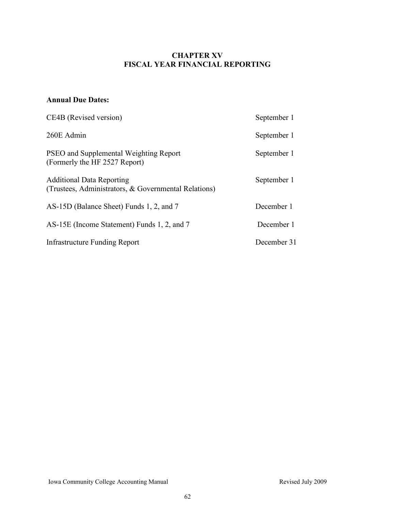# **CHAPTER XV FISCAL YEAR FINANCIAL REPORTING**

# **Annual Due Dates:**

| CE4B (Revised version)                                                                   | September 1 |
|------------------------------------------------------------------------------------------|-------------|
| 260E Admin                                                                               | September 1 |
| <b>PSEO</b> and Supplemental Weighting Report<br>(Formerly the HF 2527 Report)           | September 1 |
| <b>Additional Data Reporting</b><br>(Trustees, Administrators, & Governmental Relations) | September 1 |
| AS-15D (Balance Sheet) Funds 1, 2, and 7                                                 | December 1  |
| AS-15E (Income Statement) Funds 1, 2, and 7                                              | December 1  |
| Infrastructure Funding Report                                                            | December 31 |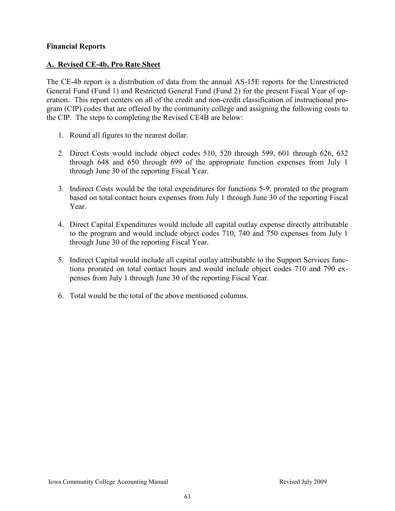# **Financial Reports**

# **A. Revised CE-4b, Pro Rate Sheet**

The CE-4b report is a distribution of data from the annual AS-15E reports for the Unrestricted General Fund (Fund 1) and Restricted General Fund (Fund 2) for the present Fiscal Year of operation. This report centers on all of the credit and non-credit classification of instructional program (CIP) codes that are offered by the community college and assigning the following costs to the CIP. The steps to completing the Revised CE4B are below:

- 1. Round all figures to the nearest dollar.
- 2. Direct Costs would include object codes 510, 520 through 599, 601 through 626, 632 through 648 and 650 through 699 of the appropriate function expenses from July 1 through June 30 of the reporting Fiscal Year.
- 3. Indirect Costs would be the total expenditures for functions 5-9, prorated to the program based on total contact hours expenses from July 1 through June 30 of the reporting Fiscal Year.
- 4. Direct Capital Expenditures would include all capital outlay expense directly attributable to the program and would include object codes 710, 740 and 750 expenses from July 1 through June 30 of the reporting Fiscal Year.
- 5. Indirect Capital would include all capital outlay attributable to the Support Services functions prorated on total contact hours and would include object codes 710 and 790 expenses from July 1 through June 30 of the reporting Fiscal Year.
- 6. Total would be the total of the above mentioned columns.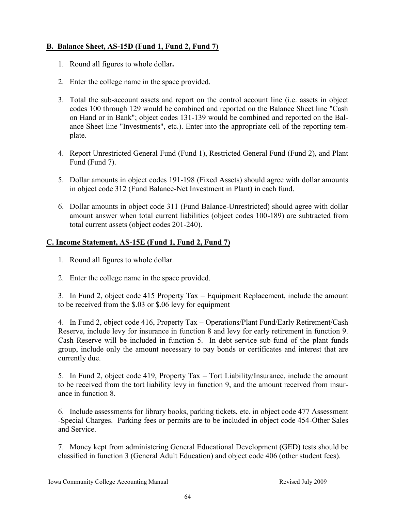# **B. Balance Sheet, AS-15D (Fund 1, Fund 2, Fund 7)**

- 1. Round all figures to whole dollar**.**
- 2. Enter the college name in the space provided.
- 3. Total the sub-account assets and report on the control account line (i.e. assets in object codes 100 through 129 would be combined and reported on the Balance Sheet line "Cash on Hand or in Bank"; object codes 131-139 would be combined and reported on the Balance Sheet line "Investments", etc.). Enter into the appropriate cell of the reporting template.
- 4. Report Unrestricted General Fund (Fund 1), Restricted General Fund (Fund 2), and Plant Fund (Fund 7).
- 5. Dollar amounts in object codes 191-198 (Fixed Assets) should agree with dollar amounts in object code 312 (Fund Balance-Net Investment in Plant) in each fund.
- 6. Dollar amounts in object code 311 (Fund Balance-Unrestricted) should agree with dollar amount answer when total current liabilities (object codes 100-189) are subtracted from total current assets (object codes 201-240).

# **C. Income Statement, AS-15E (Fund 1, Fund 2, Fund 7)**

- 1. Round all figures to whole dollar.
- 2. Enter the college name in the space provided.

3. In Fund 2, object code 415 Property Tax – Equipment Replacement, include the amount to be received from the \$.03 or \$.06 levy for equipment

4. In Fund 2, object code 416, Property Tax – Operations/Plant Fund/Early Retirement/Cash Reserve, include levy for insurance in function 8 and levy for early retirement in function 9. Cash Reserve will be included in function 5. In debt service sub-fund of the plant funds group, include only the amount necessary to pay bonds or certificates and interest that are currently due.

5. In Fund 2, object code 419, Property Tax – Tort Liability/Insurance, include the amount to be received from the tort liability levy in function 9, and the amount received from insurance in function 8.

6. Include assessments for library books, parking tickets, etc. in object code 477 Assessment -Special Charges. Parking fees or permits are to be included in object code 454-Other Sales and Service.

7. Money kept from administering General Educational Development (GED) tests should be classified in function 3 (General Adult Education) and object code 406 (other student fees).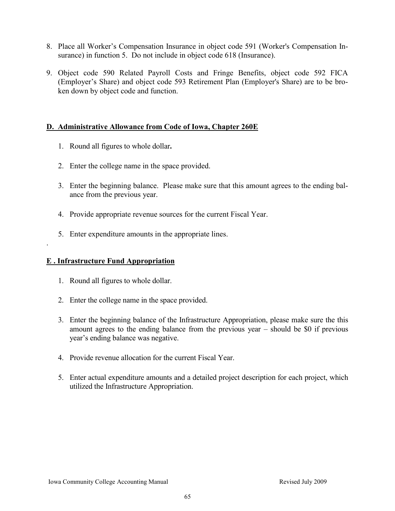- 8. Place all Worker's Compensation Insurance in object code 591 (Worker's Compensation Insurance) in function 5. Do not include in object code 618 (Insurance).
- 9. Object code 590 Related Payroll Costs and Fringe Benefits, object code 592 FICA (Employer's Share) and object code 593 Retirement Plan (Employer's Share) are to be broken down by object code and function.

# **D. Administrative Allowance from Code of Iowa, Chapter 260E**

- 1. Round all figures to whole dollar**.**
- 2. Enter the college name in the space provided.
- 3. Enter the beginning balance. Please make sure that this amount agrees to the ending balance from the previous year.
- 4. Provide appropriate revenue sources for the current Fiscal Year.
- 5. Enter expenditure amounts in the appropriate lines.

#### **E . Infrastructure Fund Appropriation**

.

- 1. Round all figures to whole dollar.
- 2. Enter the college name in the space provided.
- 3. Enter the beginning balance of the Infrastructure Appropriation, please make sure the this amount agrees to the ending balance from the previous year – should be \$0 if previous year's ending balance was negative.
- 4. Provide revenue allocation for the current Fiscal Year.
- 5. Enter actual expenditure amounts and a detailed project description for each project, which utilized the Infrastructure Appropriation.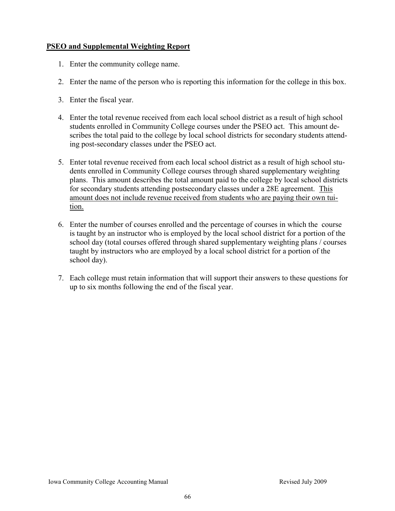# **PSEO and Supplemental Weighting Report**

- 1. Enter the community college name.
- 2. Enter the name of the person who is reporting this information for the college in this box.
- 3. Enter the fiscal year.
- 4. Enter the total revenue received from each local school district as a result of high school students enrolled in Community College courses under the PSEO act. This amount describes the total paid to the college by local school districts for secondary students attending post-secondary classes under the PSEO act.
- 5. Enter total revenue received from each local school district as a result of high school students enrolled in Community College courses through shared supplementary weighting plans. This amount describes the total amount paid to the college by local school districts for secondary students attending postsecondary classes under a 28E agreement. This amount does not include revenue received from students who are paying their own tuition.
- 6. Enter the number of courses enrolled and the percentage of courses in which the course is taught by an instructor who is employed by the local school district for a portion of the school day (total courses offered through shared supplementary weighting plans / courses taught by instructors who are employed by a local school district for a portion of the school day).
- 7. Each college must retain information that will support their answers to these questions for up to six months following the end of the fiscal year.